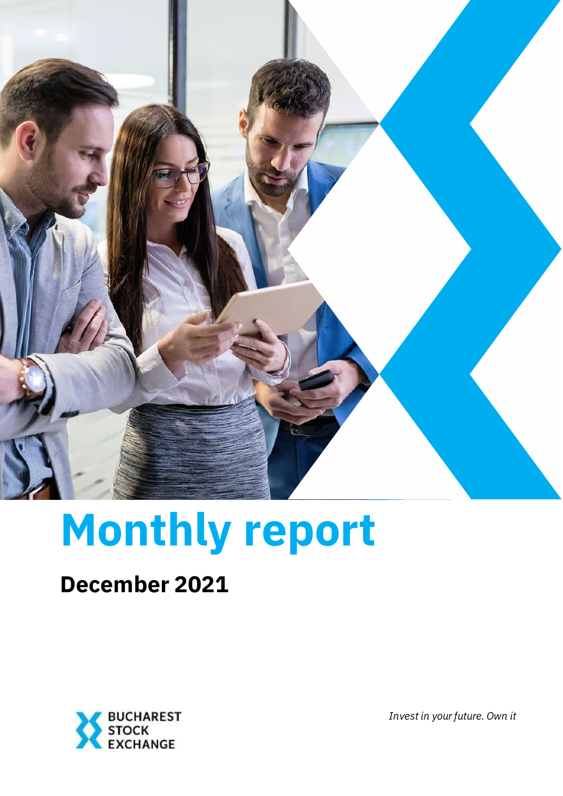

# **Monthly report**

# **December 2021**



*Invest in your future. Own it*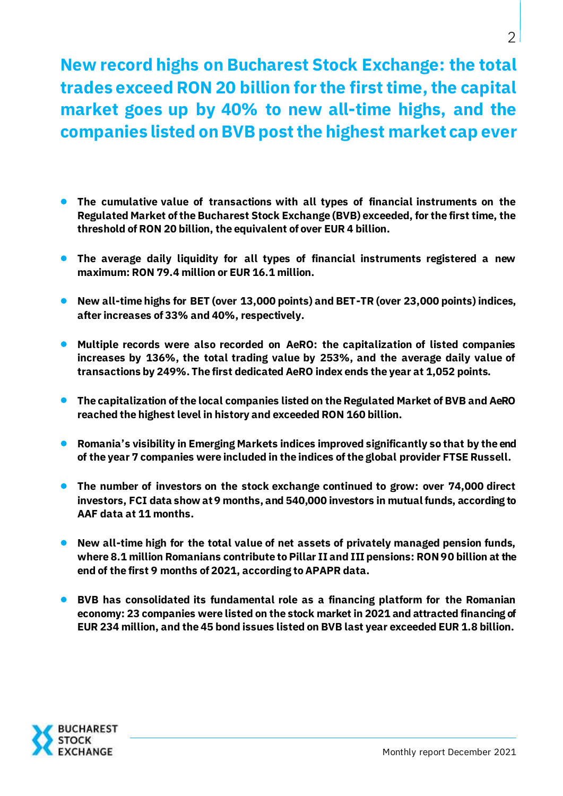**New record highs on Bucharest Stock Exchange: the total trades exceed RON 20 billion for the first time, the capital market goes up by 40% to new all-time highs, and the companies listed on BVB postthe highest market cap ever**

- **The cumulative value of transactions with all types of financial instruments on the Regulated Market of the Bucharest Stock Exchange (BVB) exceeded, for the first time, the threshold of RON 20 billion, the equivalent of over EUR 4 billion.**
- **The average daily liquidity for all types of financial instruments registered a new maximum: RON 79.4 million or EUR 16.1 million.**
- **New all-time highs for BET (over 13,000 points) and BET-TR (over 23,000 points) indices, after increases of 33% and 40%, respectively.**
- **Multiple records were also recorded on AeRO: the capitalization of listed companies increases by 136%, the total trading value by 253%, and the average daily value of transactions by 249%. The first dedicated AeRO index ends the year at 1,052 points.**
- **The capitalization of the local companies listed on the Regulated Market of BVB and AeRO reached the highest level in history and exceeded RON 160 billion.**
- **Romania's visibility in Emerging Markets indices improved significantly so that by the end of the year 7 companies were included in the indices of the global provider FTSE Russell.**
- **The number of investors on the stock exchange continued to grow: over 74,000 direct investors, FCI data show at 9 months, and 540,000 investors in mutual funds, according to AAF data at 11 months.**
- **New all-time high for the total value of net assets of privately managed pension funds, where 8.1 million Romanians contribute to Pillar II and III pensions: RON 90 billion at the end of the first 9 months of 2021, according to APAPR data.**
- **BVB has consolidated its fundamental role as a financing platform for the Romanian economy: 23 companies were listed on the stock market in 2021 and attracted financing of EUR 234 million, and the 45 bond issues listed on BVB last year exceeded EUR 1.8 billion.**

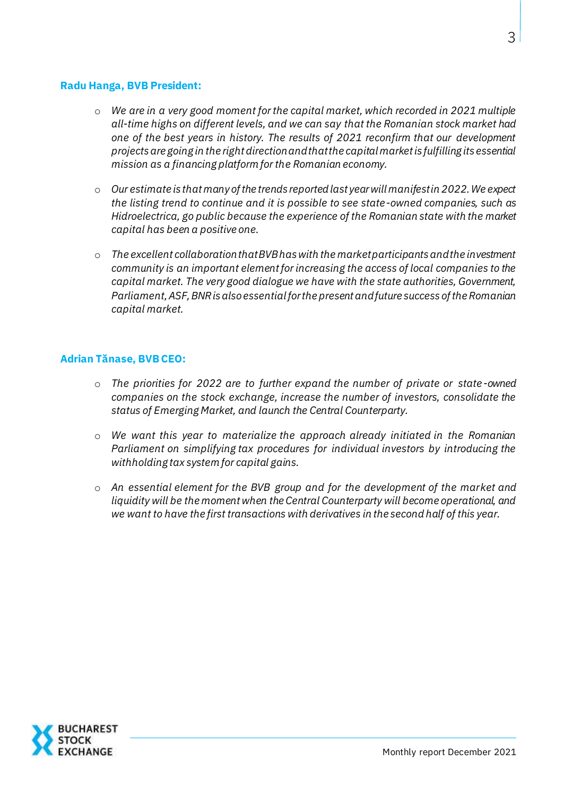#### **Radu Hanga, BVB President:**

- o *We are in a very good moment for the capital market, which recorded in 2021 multiple all-time highs on different levels, and we can say that the Romanian stock market had one of the best years in history. The results of 2021 reconfirm that our development projects are going in the right direction and that the capital market is fulfilling its essential mission as a financing platform for the Romanian economy.*
- o *Our estimate is that many of the trends reported last year will manifest in 2022. We expect the listing trend to continue and it is possible to see state-owned companies, such as Hidroelectrica, go public because the experience of the Romanian state with the market capital has been a positive one.*
- o *The excellent collaboration that BVB has with the market participants and the investment community is an important element for increasing the access of local companies to the capital market. The very good dialogue we have with the state authorities, Government, Parliament, ASF, BNR is also essential for the present and future success of the Romanian capital market.*

#### **Adrian Tănase, BVBCEO:**

- o *The priorities for 2022 are to further expand the number of private or state-owned companies on the stock exchange, increase the number of investors, consolidate the status of Emerging Market, and launch the Central Counterparty.*
- o *We want this year to materialize the approach already initiated in the Romanian Parliament on simplifying tax procedures for individual investors by introducing the withholding tax system for capital gains.*
- o *An essential element for the BVB group and for the development of the market and liquidity will be the moment when the Central Counterparty will become operational, and we want to have the first transactions with derivatives in the second half of this year.*

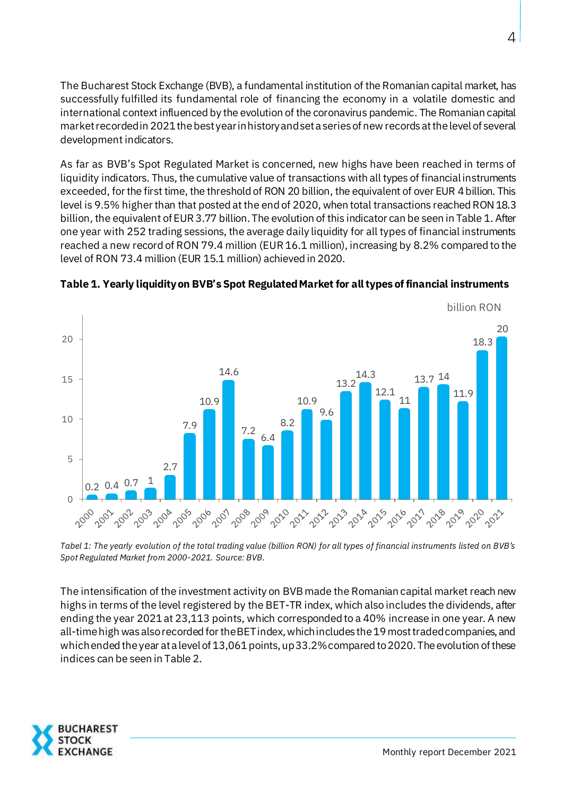The Bucharest Stock Exchange (BVB), a fundamental institution of the Romanian capital market, has successfully fulfilled its fundamental role of financing the economy in a volatile domestic and international context influenced by the evolution of the coronavirus pandemic. The Romanian capital market recorded in 2021 the best year in history and set a series of new records at the level of several development indicators.

As far as BVB's Spot Regulated Market is concerned, new highs have been reached in terms of liquidity indicators. Thus, the cumulative value of transactions with all types of financial instruments exceeded, for the first time, the threshold of RON 20 billion, the equivalent of over EUR 4 billion. This level is 9.5% higher than that posted at the end of 2020, when total transactions reached RON 18.3 billion, the equivalent of EUR 3.77 billion. The evolution of this indicator can be seen in Table 1. After one year with 252 trading sessions, the average daily liquidity for all types of financial instruments reached a new record of RON 79.4 million (EUR 16.1 million), increasing by 8.2% compared to the level of RON 73.4 million (EUR 15.1 million) achieved in 2020.



**Table 1. Yearly liquidity on BVB's Spot Regulated Market for all types of financial instruments** 

*Tabel 1: The yearly evolution of the total trading value (billion RON) for all types of financial instruments listed on BVB's Spot Regulated Market from 2000-2021. Source: BVB.*

The intensification of the investment activity on BVB made the Romanian capital market reach new highs in terms of the level registered by the BET-TR index, which also includes the dividends, after ending the year 2021 at 23,113 points, which corresponded to a 40% increase in one year. A new all-time high was also recorded for the BET index, which includes the 19 most traded companies, and which ended the year at a level of 13,061 points, up 33.2% compared to 2020. The evolution of these indices can be seen in Table 2.

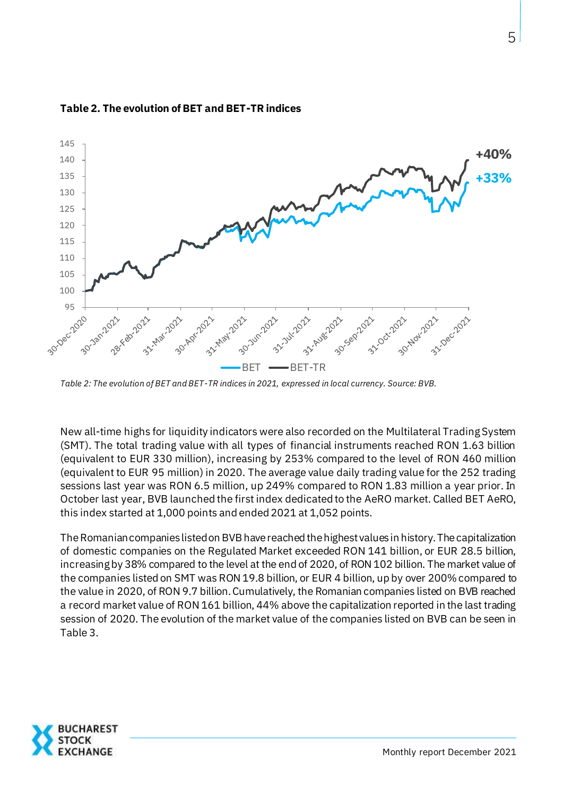

#### **Table 2. The evolution of BET and BET-TR indices**

*Table 2: The evolution of BET and BET-TR indices in 2021, expressed in local currency. Source: BVB.*

New all-time highs for liquidity indicators were also recorded on the Multilateral Trading System (SMT). The total trading value with all types of financial instruments reached RON 1.63 billion (equivalent to EUR 330 million), increasing by 253% compared to the level of RON 460 million (equivalent to EUR 95 million) in 2020. The average value daily trading value for the 252 trading sessions last year was RON 6.5 million, up 249% compared to RON 1.83 million a year prior. In October last year, BVB launched the first index dedicated to the AeRO market. Called BET AeRO, this index started at 1,000 points and ended 2021 at 1,052 points.

The Romanian companies listed on BVB have reached the highest values in history. The capitalization of domestic companies on the Regulated Market exceeded RON 141 billion, or EUR 28.5 billion, increasing by 38% compared to the level at the end of 2020, of RON 102 billion. The market value of the companies listed on SMT was RON 19.8 billion, or EUR 4 billion, up by over 200% compared to the value in 2020, of RON 9.7 billion. Cumulatively, the Romanian companies listed on BVB reached a record market value of RON 161 billion, 44% above the capitalization reported in the last trading session of 2020. The evolution of the market value of the companies listed on BVB can be seen in Table 3.

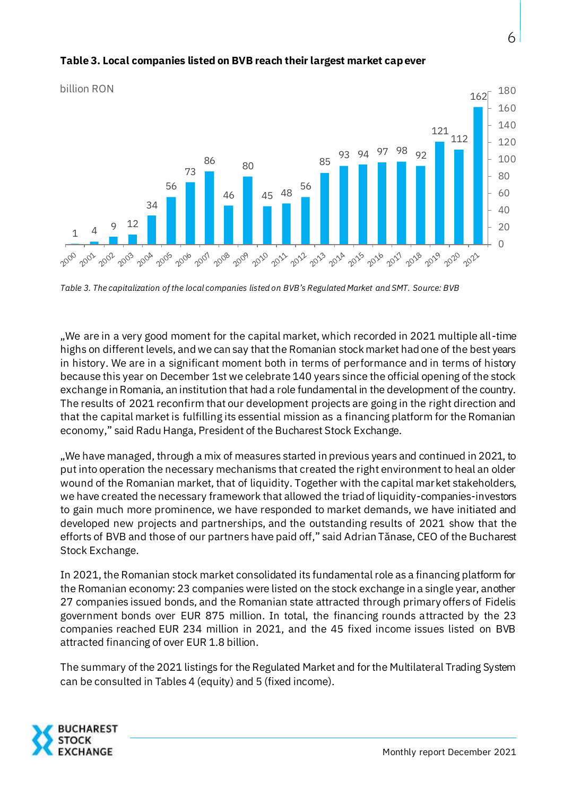

### **Table 3. Local companies listed on BVB reach their largest market cap ever**

*Table 3. The capitalization of the local companies listed on BVB's Regulated Market and SMT. Source: BVB*

"We are in a very good moment for the capital market, which recorded in 2021 multiple all-time highs on different levels, and we can say that the Romanian stock market had one of the best years in history. We are in a significant moment both in terms of performance and in terms of history because this year on December 1st we celebrate 140 years since the official opening of the stock exchange in Romania, an institution that had a role fundamental in the development of the country. The results of 2021 reconfirm that our development projects are going in the right direction and that the capital market is fulfilling its essential mission as a financing platform for the Romanian economy," said Radu Hanga, President of the Bucharest Stock Exchange.

"We have managed, through a mix of measures started in previous years and continued in 2021, to put into operation the necessary mechanisms that created the right environment to heal an older wound of the Romanian market, that of liquidity. Together with the capital market stakeholders, we have created the necessary framework that allowed the triad of liquidity-companies-investors to gain much more prominence, we have responded to market demands, we have initiated and developed new projects and partnerships, and the outstanding results of 2021 show that the efforts of BVB and those of our partners have paid off," said Adrian Tănase, CEO of the Bucharest Stock Exchange.

In 2021, the Romanian stock market consolidated its fundamental role as a financing platform for the Romanian economy: 23 companies were listed on the stock exchange in a single year, another 27 companies issued bonds, and the Romanian state attracted through primary offers of Fidelis government bonds over EUR 875 million. In total, the financing rounds attracted by the 23 companies reached EUR 234 million in 2021, and the 45 fixed income issues listed on BVB attracted financing of over EUR 1.8 billion.

The summary of the 2021 listings for the Regulated Market and for the Multilateral Trading System can be consulted in Tables 4 (equity) and 5 (fixed income).

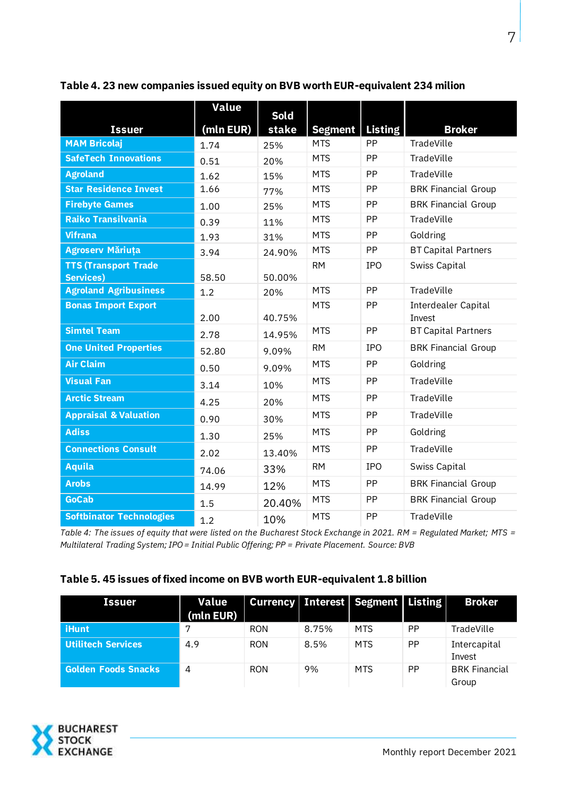|                                  | <b>Value</b> | <b>Sold</b> |                |                |                               |
|----------------------------------|--------------|-------------|----------------|----------------|-------------------------------|
| <b>Issuer</b>                    | (mln EUR)    | stake       | <b>Segment</b> | <b>Listing</b> | <b>Broker</b>                 |
| <b>MAM Bricolaj</b>              | 1.74         | 25%         | <b>MTS</b>     | <b>PP</b>      | TradeVille                    |
| <b>SafeTech Innovations</b>      | 0.51         | 20%         | <b>MTS</b>     | PP             | TradeVille                    |
| <b>Agroland</b>                  | 1.62         | 15%         | <b>MTS</b>     | <b>PP</b>      | TradeVille                    |
| <b>Star Residence Invest</b>     | 1.66         | 77%         | <b>MTS</b>     | <b>PP</b>      | <b>BRK Financial Group</b>    |
| <b>Firebyte Games</b>            | 1.00         | 25%         | <b>MTS</b>     | PP             | <b>BRK Financial Group</b>    |
| <b>Raiko Transilvania</b>        | 0.39         | 11%         | <b>MTS</b>     | <b>PP</b>      | TradeVille                    |
| <b>Vifrana</b>                   | 1.93         | 31%         | <b>MTS</b>     | PP             | Goldring                      |
| <b>Agroserv Măriuța</b>          | 3.94         | 24.90%      | <b>MTS</b>     | PP             | <b>BT Capital Partners</b>    |
| <b>TTS (Transport Trade)</b>     |              |             | <b>RM</b>      | <b>IPO</b>     | Swiss Capital                 |
| <b>Services)</b>                 | 58.50        | 50.00%      | <b>MTS</b>     | PP             | TradeVille                    |
| <b>Agroland Agribusiness</b>     | 1.2          | 20%         |                |                |                               |
| <b>Bonas Import Export</b>       | 2.00         | 40.75%      | <b>MTS</b>     | PP             | Interdealer Capital<br>Invest |
| <b>Simtel Team</b>               | 2.78         | 14.95%      | <b>MTS</b>     | PP             | <b>BT Capital Partners</b>    |
| <b>One United Properties</b>     | 52.80        | 9.09%       | <b>RM</b>      | <b>IPO</b>     | <b>BRK Financial Group</b>    |
| <b>Air Claim</b>                 | 0.50         | 9.09%       | <b>MTS</b>     | <b>PP</b>      | Goldring                      |
| <b>Visual Fan</b>                | 3.14         | 10%         | <b>MTS</b>     | PP             | TradeVille                    |
| <b>Arctic Stream</b>             | 4.25         | 20%         | <b>MTS</b>     | PP             | TradeVille                    |
| <b>Appraisal &amp; Valuation</b> | 0.90         | 30%         | <b>MTS</b>     | PP             | TradeVille                    |
| <b>Adiss</b>                     | 1.30         | 25%         | <b>MTS</b>     | PP             | Goldring                      |
| <b>Connections Consult</b>       | 2.02         | 13.40%      | <b>MTS</b>     | PP             | TradeVille                    |
| Aquila                           | 74.06        | 33%         | <b>RM</b>      | <b>IPO</b>     | Swiss Capital                 |
| <b>Arobs</b>                     | 14.99        | 12%         | <b>MTS</b>     | PP             | <b>BRK Financial Group</b>    |
| <b>GoCab</b>                     | 1.5          | 20.40%      | <b>MTS</b>     | PP             | <b>BRK Financial Group</b>    |
| <b>Softbinator Technologies</b>  | 1.2          | 10%         | <b>MTS</b>     | PP             | TradeVille                    |

**Table 4. 23 new companies issued equity on BVB worth EUR-equivalent 234 milion**

*Table 4: The issues of equity that were listed on the Bucharest Stock Exchange in 2021. RM = Regulated Market; MTS = Multilateral Trading System; IPO = Initial Public Offering; PP = Private Placement. Source: BVB*

#### **Table 5. 45 issues of fixed income on BVB worth EUR-equivalent 1.8 billion**

| <b>Issuer</b>              | Value<br>(mln EUR) |            |       | Currency   Interest   Segment   Listing |           | <b>Broker</b>                 |
|----------------------------|--------------------|------------|-------|-----------------------------------------|-----------|-------------------------------|
| <b>iHunt</b>               | 7                  | <b>RON</b> | 8.75% | <b>MTS</b>                              | <b>PP</b> | TradeVille                    |
| <b>Utilitech Services</b>  | 4.9                | <b>RON</b> | 8.5%  | <b>MTS</b>                              | <b>PP</b> | Intercapital<br>Invest        |
| <b>Golden Foods Snacks</b> | 4                  | <b>RON</b> | 9%    | <b>MTS</b>                              | <b>PP</b> | <b>BRK Financial</b><br>Group |

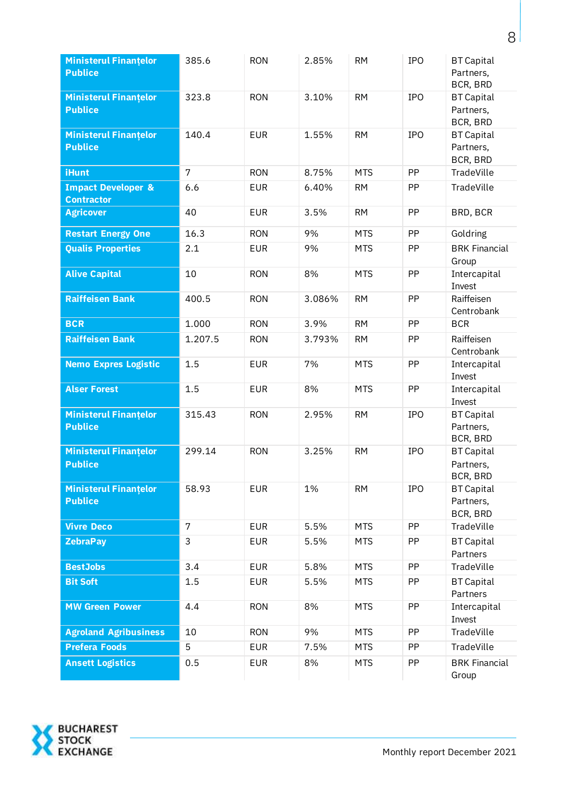| <b>Ministerul Finantelor</b><br><b>Publice</b>     | 385.6           | <b>RON</b> | 2.85%  | <b>RM</b>  | <b>IPO</b> | <b>BT Capital</b><br>Partners,<br>BCR, BRD |
|----------------------------------------------------|-----------------|------------|--------|------------|------------|--------------------------------------------|
| <b>Ministerul Finantelor</b><br><b>Publice</b>     | 323.8           | <b>RON</b> | 3.10%  | <b>RM</b>  | <b>IPO</b> | <b>BT Capital</b><br>Partners,<br>BCR, BRD |
| <b>Ministerul Finantelor</b><br><b>Publice</b>     | 140.4           | <b>EUR</b> | 1.55%  | <b>RM</b>  | <b>IPO</b> | <b>BT Capital</b><br>Partners,<br>BCR, BRD |
| <b>iHunt</b>                                       | $7\overline{ }$ | <b>RON</b> | 8.75%  | <b>MTS</b> | PP         | TradeVille                                 |
| <b>Impact Developer &amp;</b><br><b>Contractor</b> | 6.6             | <b>EUR</b> | 6.40%  | <b>RM</b>  | PP         | TradeVille                                 |
| <b>Agricover</b>                                   | 40              | <b>EUR</b> | 3.5%   | <b>RM</b>  | PP         | BRD, BCR                                   |
| <b>Restart Energy One</b>                          | 16.3            | <b>RON</b> | 9%     | <b>MTS</b> | PP         | Goldring                                   |
| <b>Qualis Properties</b>                           | 2.1             | <b>EUR</b> | 9%     | <b>MTS</b> | PP         | <b>BRK Financial</b><br>Group              |
| <b>Alive Capital</b>                               | 10              | <b>RON</b> | 8%     | <b>MTS</b> | PP         | Intercapital<br>Invest                     |
| <b>Raiffeisen Bank</b>                             | 400.5           | <b>RON</b> | 3.086% | <b>RM</b>  | PP         | Raiffeisen<br>Centrobank                   |
| <b>BCR</b>                                         | 1.000           | <b>RON</b> | 3.9%   | <b>RM</b>  | PP         | <b>BCR</b>                                 |
| <b>Raiffeisen Bank</b>                             | 1.207.5         | <b>RON</b> | 3.793% | <b>RM</b>  | PP         | Raiffeisen<br>Centrobank                   |
| <b>Nemo Expres Logistic</b>                        | 1.5             | <b>EUR</b> | 7%     | <b>MTS</b> | PP         | Intercapital<br>Invest                     |
| <b>Alser Forest</b>                                | 1.5             | <b>EUR</b> | 8%     | <b>MTS</b> | PP         | Intercapital<br>Invest                     |
| <b>Ministerul Finantelor</b><br><b>Publice</b>     | 315.43          | <b>RON</b> | 2.95%  | <b>RM</b>  | <b>IPO</b> | <b>BT Capital</b><br>Partners,<br>BCR, BRD |
| <b>Ministerul Finantelor</b><br><b>Publice</b>     | 299.14          | <b>RON</b> | 3.25%  | <b>RM</b>  | <b>IPO</b> | <b>BT Capital</b><br>Partners,<br>BCR, BRD |
| <b>Ministerul Finantelor</b><br><b>Publice</b>     | 58.93           | <b>EUR</b> | 1%     | <b>RM</b>  | <b>IPO</b> | <b>BT Capital</b><br>Partners,<br>BCR, BRD |
| <b>Vivre Deco</b>                                  | $\overline{7}$  | <b>EUR</b> | 5.5%   | <b>MTS</b> | PP         | TradeVille                                 |
| <b>ZebraPay</b>                                    | 3               | <b>EUR</b> | 5.5%   | <b>MTS</b> | PP         | <b>BT Capital</b><br>Partners              |
| <b>BestJobs</b>                                    | 3.4             | <b>EUR</b> | 5.8%   | <b>MTS</b> | PP         | TradeVille                                 |
| <b>Bit Soft</b>                                    | 1.5             | <b>EUR</b> | 5.5%   | <b>MTS</b> | PP         | <b>BT Capital</b><br>Partners              |
| <b>MW Green Power</b>                              | 4.4             | <b>RON</b> | 8%     | <b>MTS</b> | PP         | Intercapital<br>Invest                     |
| <b>Agroland Agribusiness</b>                       | 10              | <b>RON</b> | 9%     | <b>MTS</b> | PP         | TradeVille                                 |
| <b>Prefera Foods</b>                               | 5               | <b>EUR</b> | 7.5%   | <b>MTS</b> | PP         | TradeVille                                 |
| <b>Ansett Logistics</b>                            | 0.5             | <b>EUR</b> | 8%     | <b>MTS</b> | PP         | <b>BRK Financial</b><br>Group              |

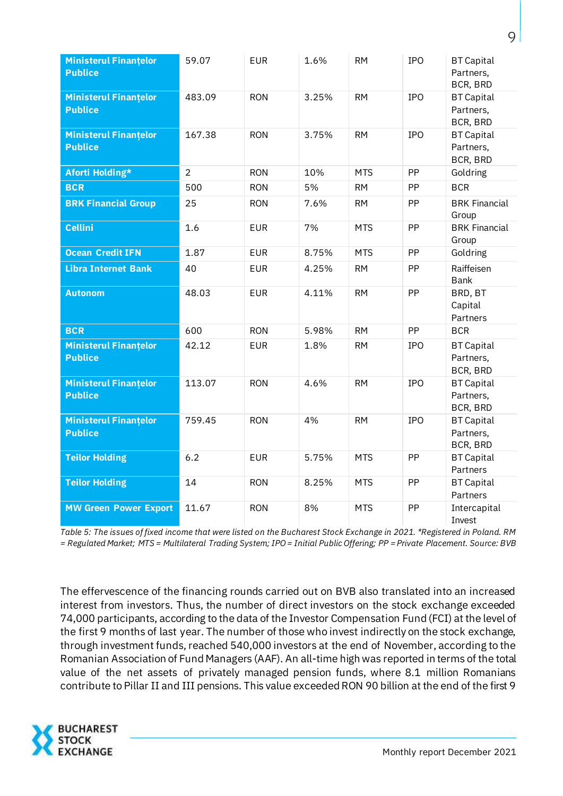| <b>Ministerul Finantelor</b><br><b>Publice</b> | 59.07          | <b>EUR</b> | 1.6%  | <b>RM</b>  | <b>IPO</b> | <b>BT Capital</b><br>Partners,<br>BCR, BRD |
|------------------------------------------------|----------------|------------|-------|------------|------------|--------------------------------------------|
| <b>Ministerul Finantelor</b><br><b>Publice</b> | 483.09         | <b>RON</b> | 3.25% | <b>RM</b>  | <b>IPO</b> | <b>BT Capital</b><br>Partners,<br>BCR, BRD |
| <b>Ministerul Finantelor</b><br><b>Publice</b> | 167.38         | <b>RON</b> | 3.75% | <b>RM</b>  | IPO        | <b>BT Capital</b><br>Partners,<br>BCR, BRD |
| Aforti Holding*                                | $\overline{2}$ | <b>RON</b> | 10%   | <b>MTS</b> | PP         | Goldring                                   |
| <b>BCR</b>                                     | 500            | <b>RON</b> | 5%    | <b>RM</b>  | PP         | <b>BCR</b>                                 |
| <b>BRK Financial Group</b>                     | 25             | <b>RON</b> | 7.6%  | <b>RM</b>  | PP         | <b>BRK Financial</b><br>Group              |
| <b>Cellini</b>                                 | 1.6            | <b>EUR</b> | 7%    | <b>MTS</b> | PP         | <b>BRK Financial</b><br>Group              |
| Ocean Credit IFN                               | 1.87           | <b>EUR</b> | 8.75% | <b>MTS</b> | PP         | Goldring                                   |
| <b>Libra Internet Bank</b>                     | 40             | <b>EUR</b> | 4.25% | <b>RM</b>  | PP         | Raiffeisen<br><b>Bank</b>                  |
| <b>Autonom</b>                                 | 48.03          | <b>EUR</b> | 4.11% | <b>RM</b>  | PP         | BRD, BT<br>Capital<br>Partners             |
| <b>BCR</b>                                     | 600            | <b>RON</b> | 5.98% | <b>RM</b>  | PP         | <b>BCR</b>                                 |
| <b>Ministerul Finantelor</b><br><b>Publice</b> | 42.12          | <b>EUR</b> | 1.8%  | <b>RM</b>  | <b>IPO</b> | <b>BT Capital</b><br>Partners,<br>BCR, BRD |
| <b>Ministerul Finantelor</b><br><b>Publice</b> | 113.07         | <b>RON</b> | 4.6%  | <b>RM</b>  | <b>IPO</b> | <b>BT Capital</b><br>Partners,<br>BCR, BRD |
| <b>Ministerul Finantelor</b><br><b>Publice</b> | 759.45         | <b>RON</b> | 4%    | <b>RM</b>  | <b>IPO</b> | <b>BT Capital</b><br>Partners,<br>BCR, BRD |
| <b>Teilor Holding</b>                          | 6.2            | <b>EUR</b> | 5.75% | <b>MTS</b> | PP         | <b>BT Capital</b><br>Partners              |
| <b>Teilor Holding</b>                          | 14             | <b>RON</b> | 8.25% | <b>MTS</b> | PP         | <b>BT Capital</b><br>Partners              |
| <b>MW Green Power Export</b>                   | 11.67          | <b>RON</b> | 8%    | <b>MTS</b> | PP         | Intercapital<br>Invest                     |

*Table 5: The issues of fixed income that were listed on the Bucharest Stock Exchange in 2021. \*Registered in Poland. RM = Regulated Market; MTS = Multilateral Trading System; IPO = Initial Public Offering; PP = Private Placement. Source: BVB*

The effervescence of the financing rounds carried out on BVB also translated into an increased interest from investors. Thus, the number of direct investors on the stock exchange exceeded 74,000 participants, according to the data of the Investor Compensation Fund (FCI) at the level of the first 9 months of last year. The number of those who invest indirectly on the stock exchange, through investment funds, reached 540,000 investors at the end of November, according to the Romanian Association of Fund Managers (AAF). An all-time high was reported in terms of the total value of the net assets of privately managed pension funds, where 8.1 million Romanians contribute to Pillar II and III pensions. This value exceeded RON 90 billion at the end of the first 9

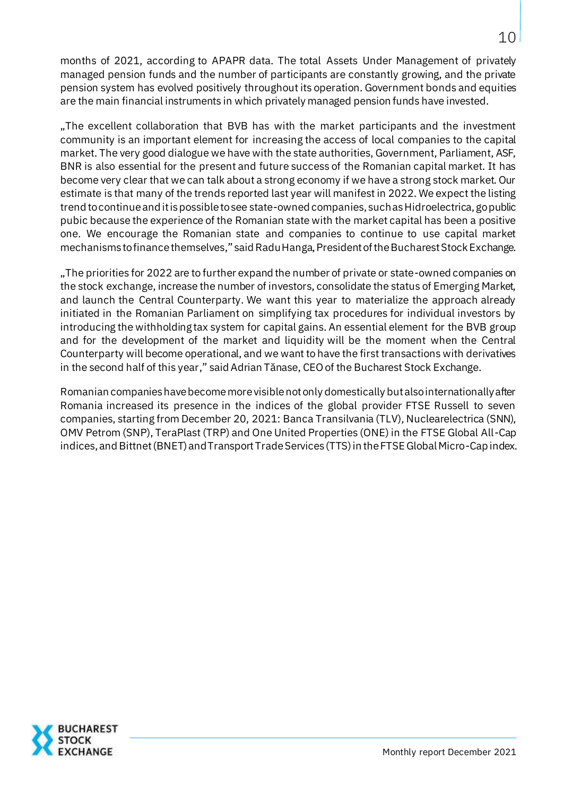months of 2021, according to APAPR data. The total Assets Under Management of privately managed pension funds and the number of participants are constantly growing, and the private pension system has evolved positively throughout its operation. Government bonds and equities are the main financial instruments in which privately managed pension funds have invested.

"The excellent collaboration that BVB has with the market participants and the investment community is an important element for increasing the access of local companies to the capital market. The very good dialogue we have with the state authorities, Government, Parliament, ASF, BNR is also essential for the present and future success of the Romanian capital market. It has become very clear that we can talk about a strong economy if we have a strong stock market. Our estimate is that many of the trends reported last year will manifest in 2022. We expect the listing trend to continue and it is possible to see state-owned companies, such as Hidroelectrica, go public pubic because the experience of the Romanian state with the market capital has been a positive one. We encourage the Romanian state and companies to continue to use capital market mechanisms to finance themselves," said Radu Hanga, President of the Bucharest Stock Exchange.

"The priorities for 2022 are to further expand the number of private or state-owned companies on the stock exchange, increase the number of investors, consolidate the status of Emerging Market, and launch the Central Counterparty. We want this year to materialize the approach already initiated in the Romanian Parliament on simplifying tax procedures for individual investors by introducing the withholding tax system for capital gains. An essential element for the BVB group and for the development of the market and liquidity will be the moment when the Central Counterparty will become operational, and we want to have the first transactions with derivatives in the second half of this year," said Adrian Tănase, CEO of the Bucharest Stock Exchange.

Romanian companies have become more visible not only domestically but also internationally after Romania increased its presence in the indices of the global provider FTSE Russell to seven companies, starting from December 20, 2021: Banca Transilvania (TLV), Nuclearelectrica (SNN), OMV Petrom (SNP), TeraPlast (TRP) and One United Properties (ONE) in the FTSE Global All-Cap indices, and Bittnet (BNET) and Transport Trade Services (TTS) in the FTSE Global Micro-Cap index.

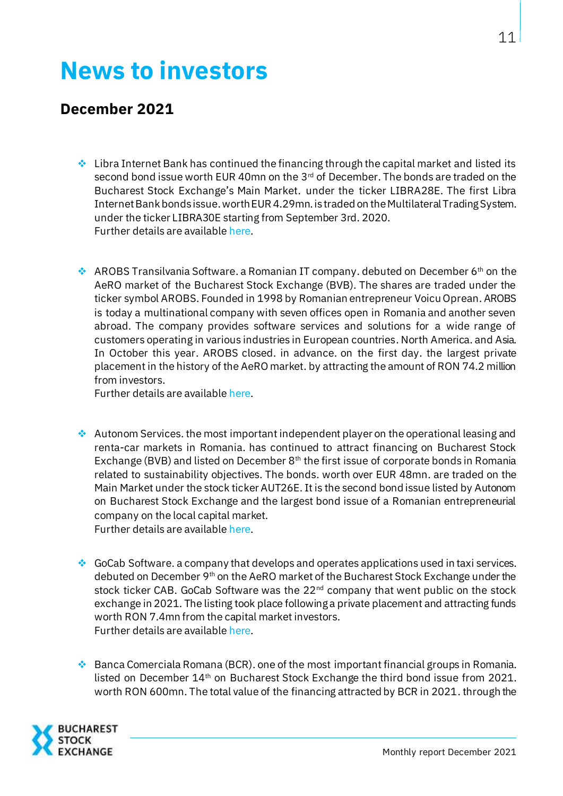# **News to investors**

### **December 2021**

- $\cdot$  Libra Internet Bank has continued the financing through the capital market and listed its second bond issue worth EUR 40mn on the  $3<sup>rd</sup>$  of December. The bonds are traded on the Bucharest Stock Exchange's Main Market. under the ticker LIBRA28E. The first Libra Internet Bank bonds issue.worth EUR 4.29mn.is traded on the Multilateral Trading System. under the ticker LIBRA30E starting from September 3rd. 2020. Further details are availabl[e here](https://bvb.ro/AboutUs/MediaCenter/PressItem/Libra-Internet-Bank-continua-finantarea-prin-bursa-si-listeaza-a-doua-emisiune-de-obligatiuni-in-valoare-de-40-milioane-de-euro/5508).
- $\cdot$  AROBS Transilvania Software. a Romanian IT company. debuted on December 6<sup>th</sup> on the AeRO market of the Bucharest Stock Exchange (BVB). The shares are traded under the ticker symbol AROBS. Founded in 1998 by Romanian entrepreneur Voicu Oprean. AROBS is today a multinational company with seven offices open in Romania and another seven abroad. The company provides software services and solutions for a wide range of customers operating in various industries in European countries. North America. and Asia. In October this year. AROBS closed. in advance. on the first day. the largest private placement in the history of the AeRO market. by attracting the amount of RON 74.2 million from investors.

Further details are availabl[e here](https://bvb.ro/AboutUs/MediaCenter/PressItem/AROBS-Transilvania-Software-a-debutat-la-Bursa-in-urma-celui-mai-mare-plasament-privat-din-istoria-pietei-AeRO/5510).

- $\clubsuit$  Autonom Services. the most important independent player on the operational leasing and renta-car markets in Romania. has continued to attract financing on Bucharest Stock Exchange (BVB) and listed on December  $8<sup>th</sup>$  the first issue of corporate bonds in Romania related to sustainability objectives. The bonds. worth over EUR 48mn. are traded on the Main Market under the stock ticker AUT26E. It is the second bond issue listed by Autonom on Bucharest Stock Exchange and the largest bond issue of a Romanian entrepreneurial company on the local capital market. Further details are availabl[e here](https://bvb.ro/AboutUs/MediaCenter/PressItem/Autonom-continua-finantarea-prin-Bursa-si-listeaza-primele-obligatiuni-corelate-cu-obiective-de-sustenabilitate-parte-a-unui-program-de-oferta-unic-in-Romania/5515).
- ❖ GoCab Software. a company that develops and operates applications used in taxi services. debuted on December 9<sup>th</sup> on the AeRO market of the Bucharest Stock Exchange under the stock ticker CAB. GoCab Software was the 22<sup>nd</sup> company that went public on the stock exchange in 2021. The listing took place following a private placement and attracting funds worth RON 7.4mn from the capital market investors. Further details are availabl[e here](https://bvb.ro/AboutUs/MediaCenter/PressItem/GoCab-Software-a-debutat-pe-piata-AeRO-a-Bursei-fiind-a-22-a-companie-care-se-listeaza-anul-acesta/5519).

 $\bullet$  Banca Comerciala Romana (BCR). one of the most important financial groups in Romania. listed on December 14<sup>th</sup> on Bucharest Stock Exchange the third bond issue from 2021. worth RON 600mn. The total value of the financing attracted by BCR in 2021. through the

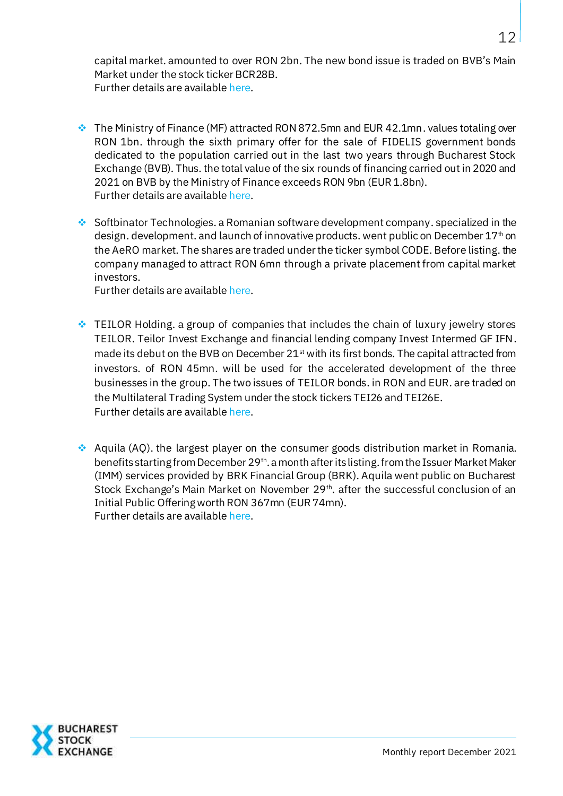capital market. amounted to over RON 2bn. The new bond issue is traded on BVB's Main Market under the stock ticker BCR28B. Further details are availabl[e here](https://bvb.ro/AboutUs/MediaCenter/PressItem/BCR-continua-finantarea-prin-Bursa-si-listeaza-a-treia-emisiune-de-obligatiuni-din-acest-an-in-valoare-de-600-milioane-de-lei/5523).

- ❖ The Ministry of Finance (MF) attracted RON 872.5mn and EUR 42.1mn. values totaling over RON 1bn. through the sixth primary offer for the sale of FIDELIS government bonds dedicated to the population carried out in the last two years through Bucharest Stock Exchange (BVB). Thus. the total value of the six rounds of financing carried out in 2020 and 2021 on BVB by the Ministry of Finance exceeds RON 9bn (EUR 1.8bn). Further details are availabl[e here](https://bvb.ro/AboutUs/MediaCenter/PressItem/Ministerul-Finantelor-listeaza-la-Bursa-de-Valori-Bucuresti-noi-titluri-de-stat-FIDELIS-in-valoare-totala-de-peste-1-miliard-de-lei/5527).
- Softbinator Technologies. a Romanian software development company. specialized in the design. development. and launch of innovative products. went public on December 17<sup>th</sup> on the AeRO market. The shares are traded under the ticker symbol CODE. Before listing. the company managed to attract RON 6mn through a private placement from capital market investors.

Further details are availabl[e here](https://bvb.ro/AboutUs/MediaCenter/PressItem/Softbinator-Technologies-debuteaza-la-Bursa-si-consolideaza-prezenta-sectorului-IT-pe-piata-de-capital-romaneasca/5529).

- ❖ TEILOR Holding. a group of companies that includes the chain of luxury jewelry stores TEILOR. Teilor Invest Exchange and financial lending company Invest Intermed GF IFN. made its debut on the BVB on December  $21<sup>st</sup>$  with its first bonds. The capital attracted from investors. of RON 45mn. will be used for the accelerated development of the three businesses in the group. The two issues of TEILOR bonds. in RON and EUR. are traded on the Multilateral Trading System under the stock tickers TEI26 and TEI26E. Further details are availabl[e here](https://bvb.ro/AboutUs/MediaCenter/PressItem/TEILOR-Holding-debuteaza-la-Bursa-de-Valori-Bucuresti-cu-primele-sale-obligatiuni-in-valoare-de-45-milioane-lei/5533).
- ❖ Aquila (AQ). the largest player on the consumer goods distribution market in Romania. benefits starting from December 29<sup>th</sup>. a month after its listing. from the Issuer Market Maker (IMM) services provided by BRK Financial Group (BRK). Aquila went public on Bucharest Stock Exchange's Main Market on November 29<sup>th</sup>. after the successful conclusion of an Initial Public Offering worth RON 367mn (EUR 74mn). Further details are availabl[e here](https://bvb.ro/AboutUs/MediaCenter/PressItem/La-o-luna-de-la-listare-Aquila-beneficiaza-de-servicii-de-Market-Maker-al-Emitentului-din-partea-BRK-Financial-Group/5535).

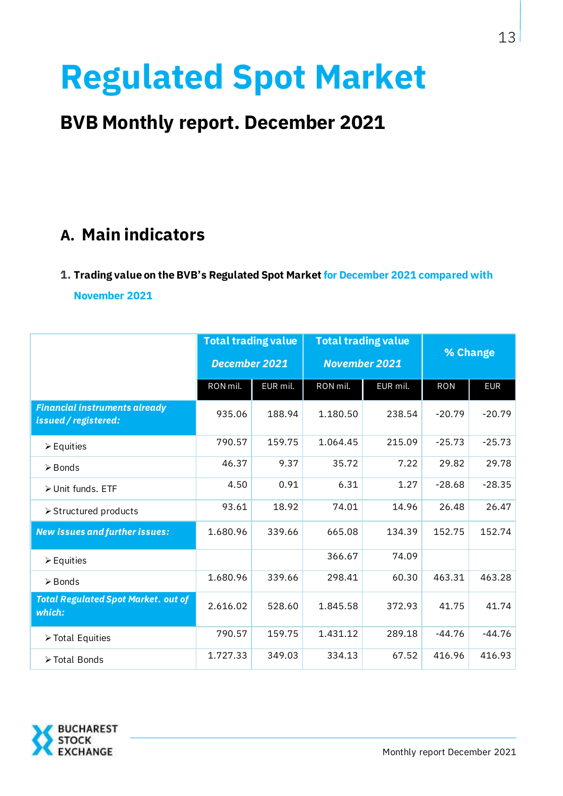# **Regulated Spot Market**

# **BVB Monthly report. December 2021**

# **A. Main indicators**

#### **1. Trading value on the BVB's Regulated Spot Market for December 2021 compared with**

**November 2021**

|                                                              | <b>Total trading value</b><br>December 2021 |          |          | <b>Total trading value</b><br><b>November 2021</b> | % Change   |            |
|--------------------------------------------------------------|---------------------------------------------|----------|----------|----------------------------------------------------|------------|------------|
|                                                              | RON mil.                                    | EUR mil. | RON mil. | EUR mil.                                           | <b>RON</b> | <b>EUR</b> |
| <b>Financial instruments already</b><br>issued / registered: | 935.06                                      | 188.94   | 1.180.50 | 238.54                                             | $-20.79$   | $-20.79$   |
| $\triangleright$ Equities                                    | 790.57                                      | 159.75   | 1.064.45 | 215.09                                             | $-25.73$   | $-25.73$   |
| $\triangleright$ Bonds                                       | 46.37                                       | 9.37     | 35.72    | 7.22                                               | 29.82      | 29.78      |
| > Unit funds. ETF                                            | 4.50                                        | 0.91     | 6.31     | 1.27                                               | $-28.68$   | $-28.35$   |
| > Structured products                                        | 93.61                                       | 18.92    | 74.01    | 14.96                                              | 26.48      | 26.47      |
| <b>New issues and further issues:</b>                        | 1.680.96                                    | 339.66   | 665.08   | 134.39                                             | 152.75     | 152.74     |
| $\triangleright$ Equities                                    |                                             |          | 366.67   | 74.09                                              |            |            |
| $\triangleright$ Bonds                                       | 1.680.96                                    | 339.66   | 298.41   | 60.30                                              | 463.31     | 463.28     |
| <b>Total Regulated Spot Market. out of</b><br>which:         | 2.616.02                                    | 528.60   | 1.845.58 | 372.93                                             | 41.75      | 41.74      |
| > Total Equities                                             | 790.57                                      | 159.75   | 1.431.12 | 289.18                                             | $-44.76$   | $-44.76$   |
| >Total Bonds                                                 | 1.727.33                                    | 349.03   | 334.13   | 67.52                                              | 416.96     | 416.93     |

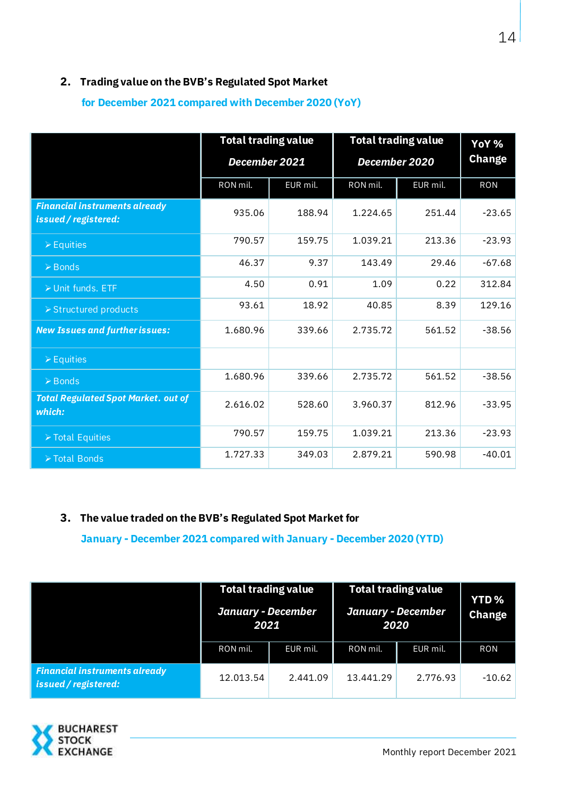#### **2. Trading value on the BVB's Regulated Spot Market**

**for December 2021 compared with December 2020 (YoY)**

|                                                              | <b>Total trading value</b> |          |               | <b>Total trading value</b> | YoY %         |
|--------------------------------------------------------------|----------------------------|----------|---------------|----------------------------|---------------|
|                                                              | December 2021              |          | December 2020 |                            | <b>Change</b> |
|                                                              | RON mil.                   | EUR mil. | RON mil.      | EUR mil.                   | <b>RON</b>    |
| <b>Financial instruments already</b><br>issued / registered: | 935.06                     | 188.94   | 1.224.65      | 251.44                     | $-23.65$      |
| $\triangleright$ Equities                                    | 790.57                     | 159.75   | 1.039.21      | 213.36                     | $-23.93$      |
| $\triangleright$ Bonds                                       | 46.37                      | 9.37     | 143.49        | 29.46                      | $-67.68$      |
| > Unit funds. ETF                                            | 4.50                       | 0.91     | 1.09          | 0.22                       | 312.84        |
| ▶ Structured products                                        | 93.61                      | 18.92    | 40.85         | 8.39                       | 129.16        |
| <b>New Issues and further issues:</b>                        | 1.680.96                   | 339.66   | 2.735.72      | 561.52                     | $-38.56$      |
| $\triangleright$ Equities                                    |                            |          |               |                            |               |
| $\triangleright$ Bonds                                       | 1.680.96                   | 339.66   | 2.735.72      | 561.52                     | $-38.56$      |
| <b>Total Regulated Spot Market. out of</b><br>which:         | 2.616.02                   | 528.60   | 3.960.37      | 812.96                     | $-33.95$      |
| > Total Equities                                             | 790.57                     | 159.75   | 1.039.21      | 213.36                     | $-23.93$      |
| > Total Bonds                                                | 1.727.33                   | 349.03   | 2.879.21      | 590.98                     | $-40.01$      |

#### **3. The value traded on the BVB's Regulated Spot Market for**

**January - December 2021 compared with January - December 2020 (YTD)**

|                                                              | <b>Total trading value</b><br><b>January - December</b><br>2021 |          | <b>January - December</b> | <b>Total trading value</b><br>2020 | YTD <sub>%</sub><br><b>Change</b> |
|--------------------------------------------------------------|-----------------------------------------------------------------|----------|---------------------------|------------------------------------|-----------------------------------|
|                                                              | RON mil.                                                        | EUR mil. | RON mil.                  | EUR mil.                           | <b>RON</b>                        |
| <b>Financial instruments already</b><br>issued / registered: | 12.013.54                                                       | 2.441.09 | 13.441.29                 | 2.776.93                           | -10.62                            |

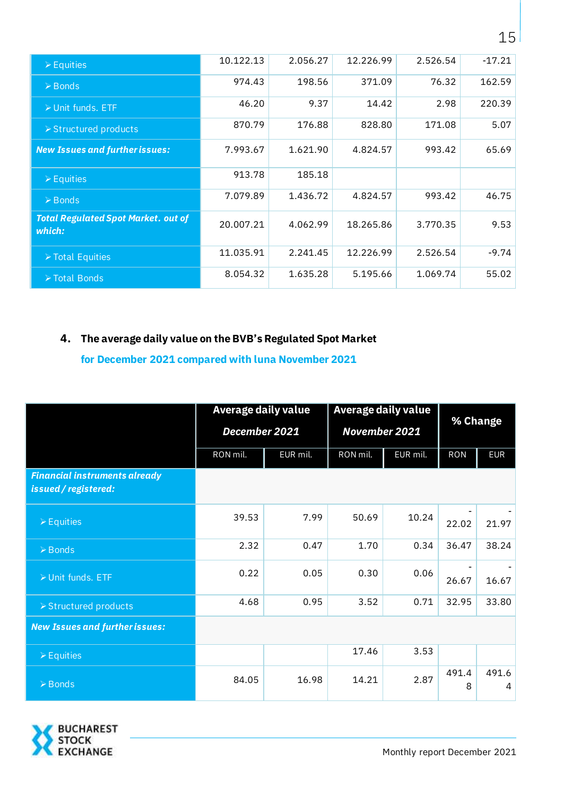| $\triangleright$ Equities                            | 10.122.13 | 2.056.27 | 12.226.99 | 2.526.54 | $-17.21$ |
|------------------------------------------------------|-----------|----------|-----------|----------|----------|
| $\triangleright$ Bonds                               | 974.43    | 198.56   | 371.09    | 76.32    | 162.59   |
| $\triangleright$ Unit funds. ETF                     | 46.20     | 9.37     | 14.42     | 2.98     | 220.39   |
| > Structured products                                | 870.79    | 176.88   | 828.80    | 171.08   | 5.07     |
| <b>New Issues and further issues:</b>                | 7.993.67  | 1.621.90 | 4.824.57  | 993.42   | 65.69    |
| $\triangleright$ Equities                            | 913.78    | 185.18   |           |          |          |
| $\triangleright$ Bonds                               | 7.079.89  | 1.436.72 | 4.824.57  | 993.42   | 46.75    |
| <b>Total Regulated Spot Market. out of</b><br>which: | 20.007.21 | 4.062.99 | 18.265.86 | 3.770.35 | 9.53     |
| $\triangleright$ Total Equities                      | 11.035.91 | 2.241.45 | 12.226.99 | 2.526.54 | $-9.74$  |
| ▶ Total Bonds                                        | 8.054.32  | 1.635.28 | 5.195.66  | 1.069.74 | 55.02    |

### **4. The average daily value on the BVB's Regulated Spot Market**

**for December 2021 compared with luna November 2021**

|                                                              | Average daily value  |       | Average daily value | % Change |            |            |
|--------------------------------------------------------------|----------------------|-------|---------------------|----------|------------|------------|
|                                                              | December 2021        |       | November 2021       |          |            |            |
|                                                              | EUR mil.<br>RON mil. |       | RON mil.            | EUR mil. | <b>RON</b> | <b>EUR</b> |
| <b>Financial instruments already</b><br>issued / registered: |                      |       |                     |          |            |            |
| $\triangleright$ Equities                                    | 39.53                | 7.99  | 50.69               | 10.24    | 22.02      | 21.97      |
| $\triangleright$ Bonds                                       | 2.32                 | 0.47  | 1.70                | 0.34     | 36.47      | 38.24      |
| ▶ Unit funds. ETF                                            | 0.22                 | 0.05  | 0.30                | 0.06     | 26.67      | 16.67      |
| > Structured products                                        | 4.68                 | 0.95  | 3.52                | 0.71     | 32.95      | 33.80      |
| <b>New Issues and further issues:</b>                        |                      |       |                     |          |            |            |
| $\triangleright$ Equities                                    |                      |       | 17.46               | 3.53     |            |            |
| $\triangleright$ Bonds                                       | 84.05                | 16.98 | 14.21               | 2.87     | 491.4<br>8 | 491.6<br>4 |

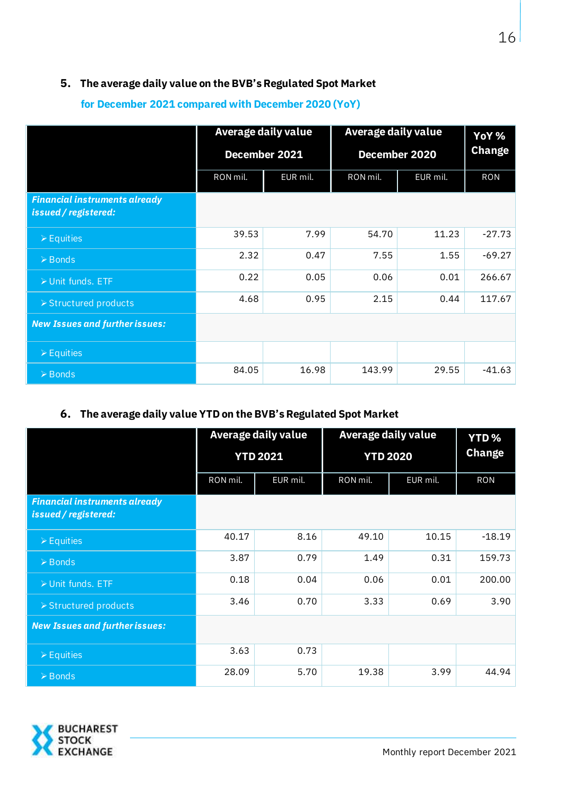#### **5. The average daily value on the BVB's Regulated Spot Market**

|                                                              | Average daily value                          |               | Average daily value | YoY %         |               |
|--------------------------------------------------------------|----------------------------------------------|---------------|---------------------|---------------|---------------|
|                                                              |                                              | December 2021 |                     | December 2020 | <b>Change</b> |
|                                                              | EUR mil.<br>RON mil.<br>EUR mil.<br>RON mil. |               | <b>RON</b>          |               |               |
| <b>Financial instruments already</b><br>issued / registered: |                                              |               |                     |               |               |
| $\triangleright$ Equities                                    | 39.53                                        | 7.99          | 54.70               | 11.23         | $-27.73$      |
| $\triangleright$ Bonds                                       | 2.32                                         | 0.47          | 7.55                | 1.55          | $-69.27$      |
| ▶ Unit funds. ETF                                            | 0.22                                         | 0.05          | 0.06                | 0.01          | 266.67        |
| ▶ Structured products                                        | 4.68                                         | 0.95          | 2.15                | 0.44          | 117.67        |
| <b>New Issues and further issues:</b>                        |                                              |               |                     |               |               |
| $\triangleright$ Equities                                    |                                              |               |                     |               |               |
| $\triangleright$ Bonds                                       | 84.05                                        | 16.98         | 143.99              | 29.55         | $-41.63$      |

#### **for December 2021 compared with December 2020 (YoY)**

#### **6. The average daily value YTD on the BVB's Regulated Spot Market**

|                                                              |                      | Average daily value | Average daily value | <b>YTD%</b>   |            |
|--------------------------------------------------------------|----------------------|---------------------|---------------------|---------------|------------|
|                                                              | <b>YTD 2021</b>      |                     | <b>YTD 2020</b>     | <b>Change</b> |            |
|                                                              | RON mil.<br>EUR mil. |                     | RON mil.            | EUR mil.      | <b>RON</b> |
| <b>Financial instruments already</b><br>issued / registered: |                      |                     |                     |               |            |
| $\triangleright$ Equities                                    | 40.17                | 8.16                | 49.10               | 10.15         | $-18.19$   |
| $\triangleright$ Bonds                                       | 3.87                 | 0.79                | 1.49                | 0.31          | 159.73     |
| ▶ Unit funds. ETF                                            | 0.18                 | 0.04                | 0.06                | 0.01          | 200.00     |
| > Structured products                                        | 3.46                 | 0.70                | 3.33                | 0.69          | 3.90       |
| <b>New Issues and further issues:</b>                        |                      |                     |                     |               |            |
| $\triangleright$ Equities                                    | 3.63                 | 0.73                |                     |               |            |
| $\triangleright$ Bonds                                       | 28.09                | 5.70                | 19.38               | 3.99          | 44.94      |

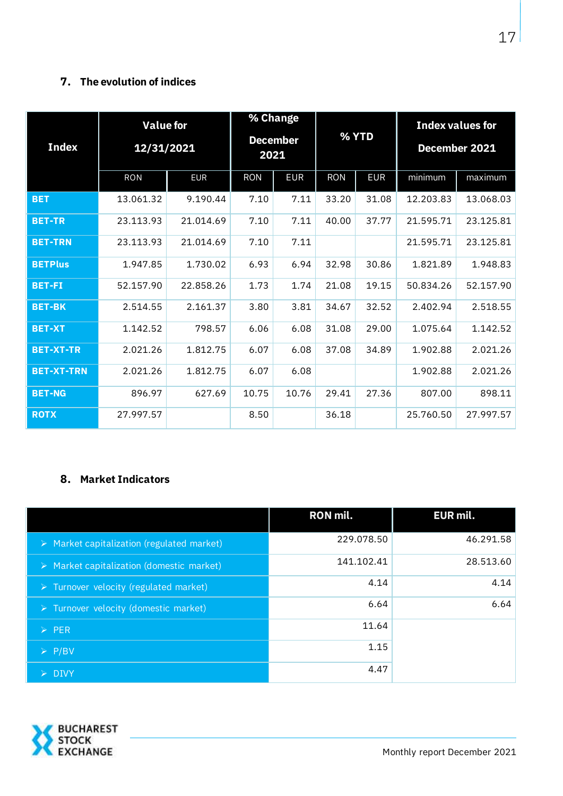#### **7. The evolution of indices**

| <b>Index</b>      | <b>Value</b> for<br>12/31/2021 |            | 2021       | % Change<br><b>December</b> | % YTD      |            | <b>Index values for</b><br>December 2021 |           |
|-------------------|--------------------------------|------------|------------|-----------------------------|------------|------------|------------------------------------------|-----------|
|                   | <b>RON</b>                     | <b>EUR</b> | <b>RON</b> | <b>EUR</b>                  | <b>RON</b> | <b>EUR</b> | minimum                                  | maximum   |
| <b>BET</b>        | 13.061.32                      | 9.190.44   | 7.10       | 7.11                        | 33.20      | 31.08      | 12.203.83                                | 13.068.03 |
| <b>BET-TR</b>     | 23.113.93                      | 21.014.69  | 7.10       | 7.11                        | 40.00      | 37.77      | 21.595.71                                | 23.125.81 |
| <b>BET-TRN</b>    | 23.113.93                      | 21.014.69  | 7.10       | 7.11                        |            |            | 21.595.71                                | 23.125.81 |
| <b>BETPlus</b>    | 1.947.85                       | 1.730.02   | 6.93       | 6.94                        | 32.98      | 30.86      | 1.821.89                                 | 1.948.83  |
| <b>BET-FI</b>     | 52.157.90                      | 22.858.26  | 1.73       | 1.74                        | 21.08      | 19.15      | 50.834.26                                | 52.157.90 |
| <b>BET-BK</b>     | 2.514.55                       | 2.161.37   | 3.80       | 3.81                        | 34.67      | 32.52      | 2.402.94                                 | 2.518.55  |
| <b>BET-XT</b>     | 1.142.52                       | 798.57     | 6.06       | 6.08                        | 31.08      | 29.00      | 1.075.64                                 | 1.142.52  |
| <b>BET-XT-TR</b>  | 2.021.26                       | 1.812.75   | 6.07       | 6.08                        | 37.08      | 34.89      | 1.902.88                                 | 2.021.26  |
| <b>BET-XT-TRN</b> | 2.021.26                       | 1.812.75   | 6.07       | 6.08                        |            |            | 1.902.88                                 | 2.021.26  |
| <b>BET-NG</b>     | 896.97                         | 627.69     | 10.75      | 10.76                       | 29.41      | 27.36      | 807.00                                   | 898.11    |
| <b>ROTX</b>       | 27.997.57                      |            | 8.50       |                             | 36.18      |            | 25.760.50                                | 27.997.57 |

#### **8. Market Indicators**

|                                                           | <b>RON mil.</b> | EUR mil.  |
|-----------------------------------------------------------|-----------------|-----------|
| $\triangleright$ Market capitalization (regulated market) | 229.078.50      | 46.291.58 |
| $\triangleright$ Market capitalization (domestic market)  | 141.102.41      | 28.513.60 |
| $\triangleright$ Turnover velocity (regulated market)     | 4.14            | 4.14      |
| > Turnover velocity (domestic market)                     | 6.64            | 6.64      |
| $\triangleright$ PER                                      | 11.64           |           |
| $\triangleright$ P/BV                                     | 1.15            |           |
| $\triangleright$ DIVY                                     | 4.47            |           |

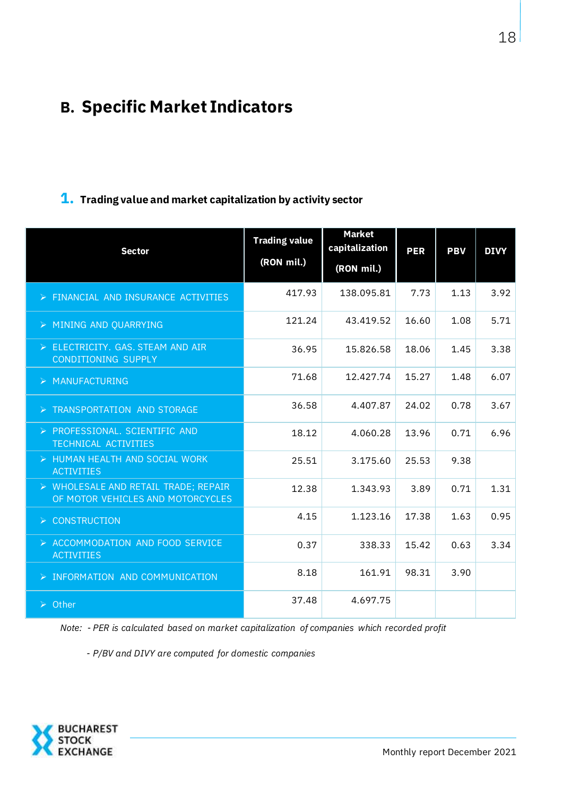# **B. Specific Market Indicators**

## **1. Trading value and market capitalization by activity sector**

| <b>Sector</b>                                                             | <b>Trading value</b><br>(RON mil.) | <b>Market</b><br>capitalization<br>(RON mil.) | <b>PER</b> | <b>PBV</b> | <b>DIVY</b> |
|---------------------------------------------------------------------------|------------------------------------|-----------------------------------------------|------------|------------|-------------|
|                                                                           |                                    |                                               |            |            |             |
| > FINANCIAL AND INSURANCE ACTIVITIES                                      | 417.93                             | 138.095.81                                    | 7.73       | 1.13       | 3.92        |
| > MINING AND QUARRYING                                                    | 121.24                             | 43.419.52                                     | 16.60      | 1.08       | 5.71        |
| > ELECTRICITY. GAS. STEAM AND AIR<br><b>CONDITIONING SUPPLY</b>           | 36.95                              | 15.826.58                                     | 18.06      | 1.45       | 3.38        |
| > MANUFACTURING                                                           | 71.68                              | 12.427.74                                     | 15.27      | 1.48       | 6.07        |
| > TRANSPORTATION AND STORAGE                                              | 36.58                              | 4.407.87                                      | 24.02      | 0.78       | 3.67        |
| > PROFESSIONAL. SCIENTIFIC AND<br><b>TECHNICAL ACTIVITIES</b>             | 18.12                              | 4.060.28                                      | 13.96      | 0.71       | 6.96        |
| > HUMAN HEALTH AND SOCIAL WORK<br><b>ACTIVITIES</b>                       | 25.51                              | 3.175.60                                      | 25.53      | 9.38       |             |
| > WHOLESALE AND RETAIL TRADE; REPAIR<br>OF MOTOR VEHICLES AND MOTORCYCLES | 12.38                              | 1.343.93                                      | 3.89       | 0.71       | 1.31        |
| $\triangleright$ CONSTRUCTION                                             | 4.15                               | 1.123.16                                      | 17.38      | 1.63       | 0.95        |
| > ACCOMMODATION AND FOOD SERVICE<br><b>ACTIVITIES</b>                     | 0.37                               | 338.33                                        | 15.42      | 0.63       | 3.34        |
| > INFORMATION AND COMMUNICATION                                           | 8.18                               | 161.91                                        | 98.31      | 3.90       |             |
| $\triangleright$ Other                                                    | 37.48                              | 4.697.75                                      |            |            |             |

*Note: - PER is calculated based on market capitalization of companies which recorded profit*

 *- P/BV and DIVY are computed for domestic companies*

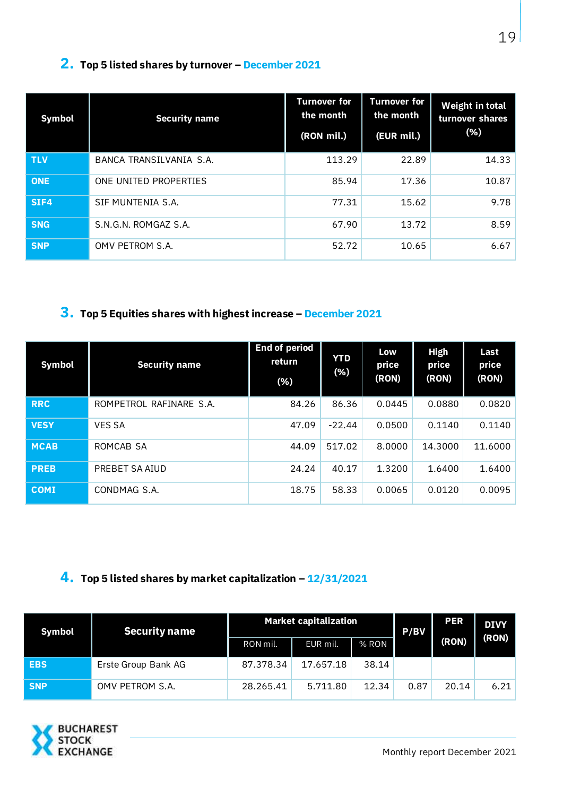## **2. Top 5 listed shares by turnover – December 2021**

| <b>Symbol</b> | <b>Security name</b>    | <b>Turnover for</b><br>the month<br>(RON mil.) | <b>Turnover for</b><br>the month<br>(EUR mil.) | <b>Weight in total</b><br>turnover shares<br>(% ) |
|---------------|-------------------------|------------------------------------------------|------------------------------------------------|---------------------------------------------------|
| <b>TLV</b>    | BANCA TRANSILVANIA S.A. | 113.29                                         | 22.89                                          | 14.33                                             |
| <b>ONE</b>    | ONE UNITED PROPERTIES   | 85.94                                          | 17.36                                          | 10.87                                             |
| SIF4          | SIF MUNTENIA S.A.       | 77.31                                          | 15.62                                          | 9.78                                              |
| <b>SNG</b>    | S.N.G.N. ROMGAZ S.A.    | 67.90                                          | 13.72                                          | 8.59                                              |
| <b>SNP</b>    | OMV PETROM S.A.         | 52.72                                          | 10.65                                          | 6.67                                              |

## **3. Top 5 Equities shares with highest increase – December 2021**

| <b>Symbol</b> | <b>Security name</b>    | <b>End of period</b><br>return<br>(% ) | <b>YTD</b><br>(% ) | Low<br>price<br>(RON) | High<br>price<br>(RON) | Last<br>price<br>(RON) |
|---------------|-------------------------|----------------------------------------|--------------------|-----------------------|------------------------|------------------------|
| <b>RRC</b>    | ROMPETROL RAFINARE S.A. | 84.26                                  | 86.36              | 0.0445                | 0.0880                 | 0.0820                 |
| <b>VESY</b>   | <b>VES SA</b>           | 47.09                                  | $-22.44$           | 0.0500                | 0.1140                 | 0.1140                 |
| <b>MCAB</b>   | ROMCAB SA               | 44.09                                  | 517.02             | 8.0000                | 14.3000                | 11.6000                |
| <b>PREB</b>   | PREBET SA AIUD          | 24.24                                  | 40.17              | 1.3200                | 1.6400                 | 1.6400                 |
| <b>COMI</b>   | CONDMAG S.A.            | 18.75                                  | 58.33              | 0.0065                | 0.0120                 | 0.0095                 |

**4. Top 5 listed shares by market capitalization – 12/31/2021**

| Symbol     | <b>Security name</b> | <b>Market capitalization</b> |           |       | P/BV | <b>PER</b> | <b>DIVY</b> |
|------------|----------------------|------------------------------|-----------|-------|------|------------|-------------|
|            |                      | RON mil.                     | EUR mil.  | % RON |      | (RON)      | (RON)       |
| <b>EBS</b> | Erste Group Bank AG  | 87.378.34                    | 17.657.18 | 38.14 |      |            |             |
| <b>SNP</b> | OMV PETROM S.A.      | 28.265.41                    | 5.711.80  | 12.34 | 0.87 | 20.14      | 6.21        |

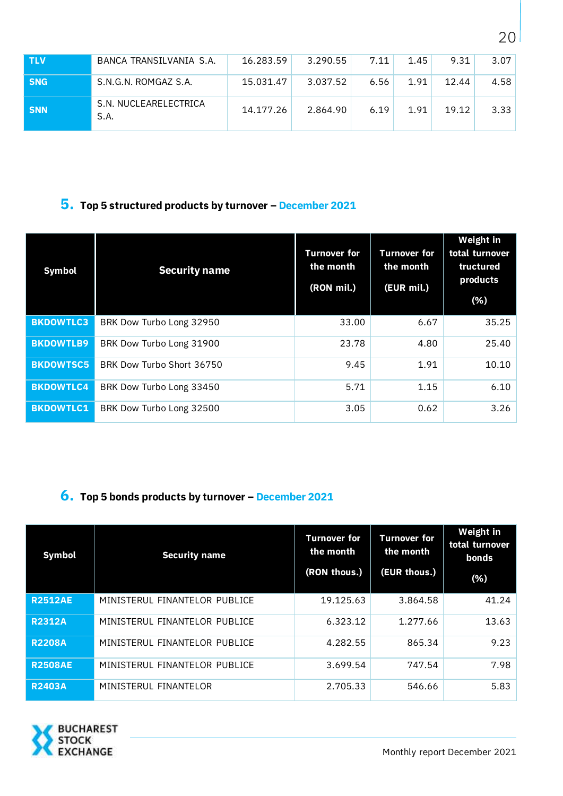| <b>TLV</b> | BANCA TRANSILVANIA S.A.       | 16.283.59 | 3.290.55 | 7.11 | 1.45 | 9.31  | 3.07 |
|------------|-------------------------------|-----------|----------|------|------|-------|------|
| <b>SNG</b> | S.N.G.N. ROMGAZ S.A.          | 15.031.47 | 3.037.52 | 6.56 | 1.91 | 12.44 | 4.58 |
| <b>SNN</b> | S.N. NUCLEARELECTRICA<br>S.A. | 14.177.26 | 2.864.90 | 6.19 | 1.91 | 19.12 | 3.33 |

## **5. Top 5 structured products by turnover – December 2021**

| <b>Symbol</b>    | <b>Security name</b>      | <b>Turnover for</b><br>the month<br>(RON mil.) | <b>Turnover for</b><br>the month<br>(EUR mil.) | <b>Weight in</b><br>total turnover<br>tructured<br>products<br>(% ) |
|------------------|---------------------------|------------------------------------------------|------------------------------------------------|---------------------------------------------------------------------|
| <b>BKDOWTLC3</b> | BRK Dow Turbo Long 32950  | 33.00                                          | 6.67                                           | 35.25                                                               |
| <b>BKDOWTLB9</b> | BRK Dow Turbo Long 31900  | 23.78                                          | 4.80                                           | 25.40                                                               |
| <b>BKDOWTSC5</b> | BRK Dow Turbo Short 36750 | 9.45                                           | 1.91                                           | 10.10                                                               |
| <b>BKDOWTLC4</b> | BRK Dow Turbo Long 33450  | 5.71                                           | 1.15                                           | 6.10                                                                |
| <b>BKDOWTLC1</b> | BRK Dow Turbo Long 32500  | 3.05                                           | 0.62                                           | 3.26                                                                |

## **6. Top 5 bonds products by turnover – December 2021**

| <b>Symbol</b>  | <b>Security name</b>          | <b>Turnover for</b><br>the month<br>(RON thous.) | <b>Turnover for</b><br>the month<br>(EUR thous.) | Weight in<br>total turnover<br>bonds<br>(% ) |
|----------------|-------------------------------|--------------------------------------------------|--------------------------------------------------|----------------------------------------------|
| <b>R2512AE</b> | MINISTERUL FINANTELOR PUBLICE | 19.125.63                                        | 3.864.58                                         | 41.24                                        |
| <b>R2312A</b>  | MINISTERUL FINANTELOR PUBLICE | 6.323.12                                         | 1.277.66                                         | 13.63                                        |
| <b>R2208A</b>  | MINISTERUL FINANTELOR PUBLICE | 4.282.55                                         | 865.34                                           | 9.23                                         |
| <b>R2508AE</b> | MINISTERUL FINANTELOR PUBLICE | 3.699.54                                         | 747.54                                           | 7.98                                         |
| <b>R2403A</b>  | MINISTERUL FINANTELOR         | 2.705.33                                         | 546.66                                           | 5.83                                         |

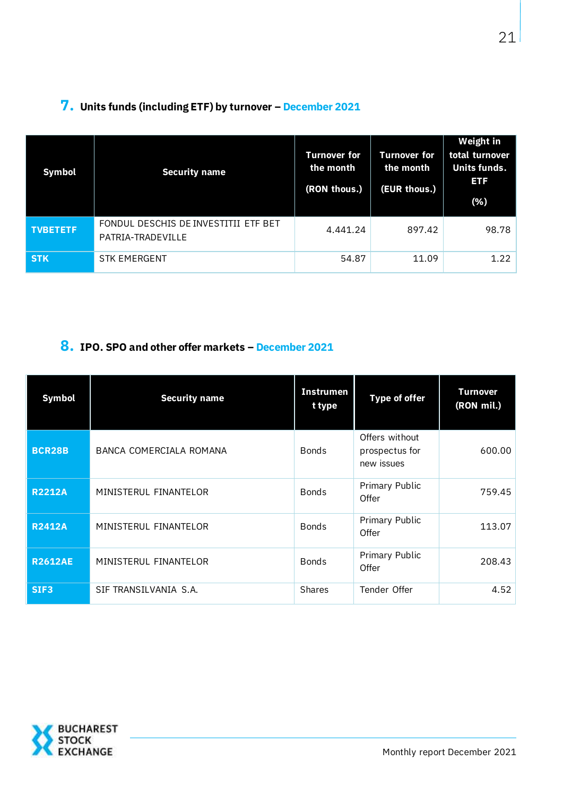| <b>Symbol</b>   | <b>Security name</b>                                      | <b>Turnover for</b><br>the month<br>(RON thous.) | <b>Turnover for</b><br>the month<br>(EUR thous.) | Weight in<br>total turnover<br>Units funds.<br><b>ETF</b><br>(% ) |
|-----------------|-----------------------------------------------------------|--------------------------------------------------|--------------------------------------------------|-------------------------------------------------------------------|
| <b>TVBETETF</b> | FONDUL DESCHIS DE INVESTITII ETF BET<br>PATRIA-TRADEVILLE | 4.441.24                                         | 897.42                                           | 98.78                                                             |
| <b>STK</b>      | <b>STK EMERGENT</b>                                       | 54.87                                            | 11.09                                            | 1.22                                                              |

## **7. Units funds (including ETF) by turnover – December 2021**

### **8. IPO. SPO and other offer markets – December 2021**

| <b>Symbol</b>    | <b>Security name</b>    | <b>Instrumen</b><br>t type | <b>Type of offer</b>                           | <b>Turnover</b><br>(RON mil.) |
|------------------|-------------------------|----------------------------|------------------------------------------------|-------------------------------|
| <b>BCR28B</b>    | BANCA COMERCIALA ROMANA | <b>Bonds</b>               | Offers without<br>prospectus for<br>new issues | 600.00                        |
| <b>R2212A</b>    | MINISTERUL FINANTELOR   | <b>Bonds</b>               | Primary Public<br>Offer                        | 759.45                        |
| <b>R2412A</b>    | MINISTERUL FINANTELOR   | <b>Bonds</b>               | Primary Public<br>Offer                        | 113.07                        |
| <b>R2612AE</b>   | MINISTERUL FINANTELOR   | <b>Bonds</b>               | Primary Public<br>Offer                        | 208.43                        |
| SIF <sub>3</sub> | SIF TRANSILVANIA S.A.   | <b>Shares</b>              | Tender Offer                                   | 4.52                          |

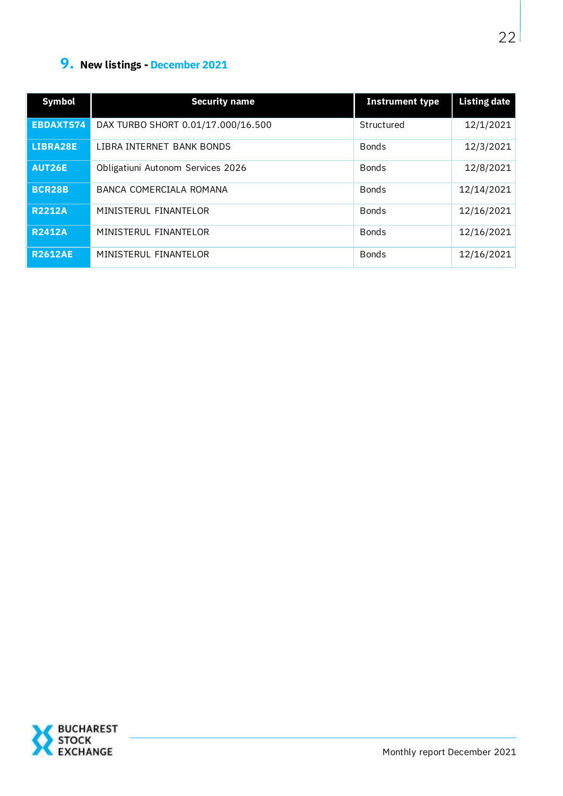## **9. New listings - December 2021**

| <b>Symbol</b>    | <b>Security name</b>               | <b>Instrument type</b> | <b>Listing date</b> |
|------------------|------------------------------------|------------------------|---------------------|
| <b>EBDAXTS74</b> | DAX TURBO SHORT 0.01/17.000/16.500 | Structured             | 12/1/2021           |
| LIBRA28E         | LIBRA INTERNET BANK BONDS          | <b>Bonds</b>           | 12/3/2021           |
| AUT26E           | Obligatiuni Autonom Services 2026  | <b>Bonds</b>           | 12/8/2021           |
| <b>BCR28B</b>    | BANCA COMERCIALA ROMANA            | <b>Bonds</b>           | 12/14/2021          |
| <b>R2212A</b>    | MINISTERUL FINANTELOR              | <b>Bonds</b>           | 12/16/2021          |
| <b>R2412A</b>    | MINISTERUL FINANTELOR              | <b>Bonds</b>           | 12/16/2021          |
| <b>R2612AE</b>   | MINISTERUL FINANTELOR              | <b>Bonds</b>           | 12/16/2021          |

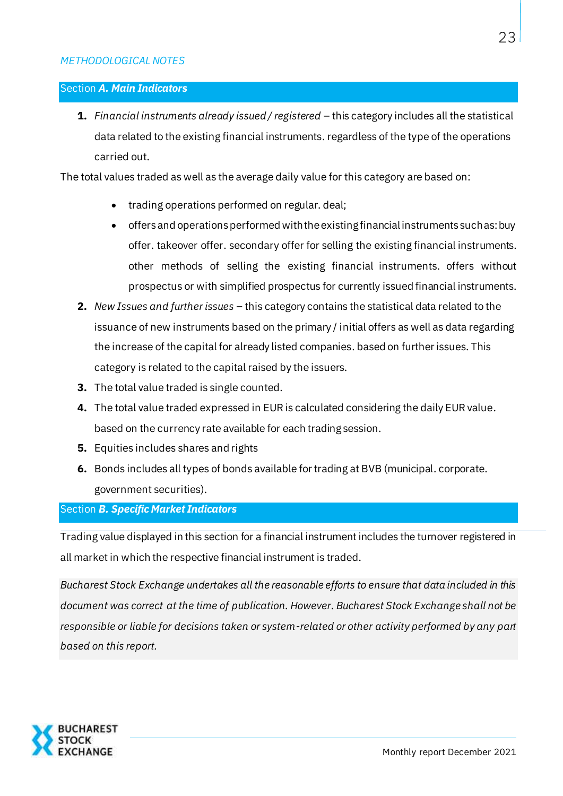#### Section *A. Main Indicators*

**1.** *Financial instruments already issued / registered* – this category includes all the statistical data related to the existing financial instruments. regardless of the type of the operations carried out.

The total values traded as well as the average daily value for this category are based on:

- trading operations performed on regular. deal;
- offers and operations performed with the existing financial instruments such as: buy offer. takeover offer. secondary offer for selling the existing financial instruments. other methods of selling the existing financial instruments. offers without prospectus or with simplified prospectus for currently issued financial instruments.
- **2.** *New Issues and further issues* this category contains the statistical data related to the issuance of new instruments based on the primary / initial offers as well as data regarding the increase of the capital for already listed companies. based on further issues. This category is related to the capital raised by the issuers.
- **3.** The total value traded is single counted.
- **4.** The total value traded expressed in EUR is calculated considering the daily EUR value. based on the currency rate available for each trading session.
- **5.** Equities includes shares and rights
- **6.** Bonds includes all types of bonds available for trading at BVB (municipal. corporate. government securities).

#### Section *B. Specific Market Indicators*

Trading value displayed in this section for a financial instrument includes the turnover registered in all market in which the respective financial instrument is traded.

*Bucharest Stock Exchange undertakes all the reasonable efforts to ensure that data included in this document was correct at the time of publication. However. Bucharest Stock Exchange shall not be responsible or liable for decisions taken or system-related or other activity performed by any part based on this report.* 

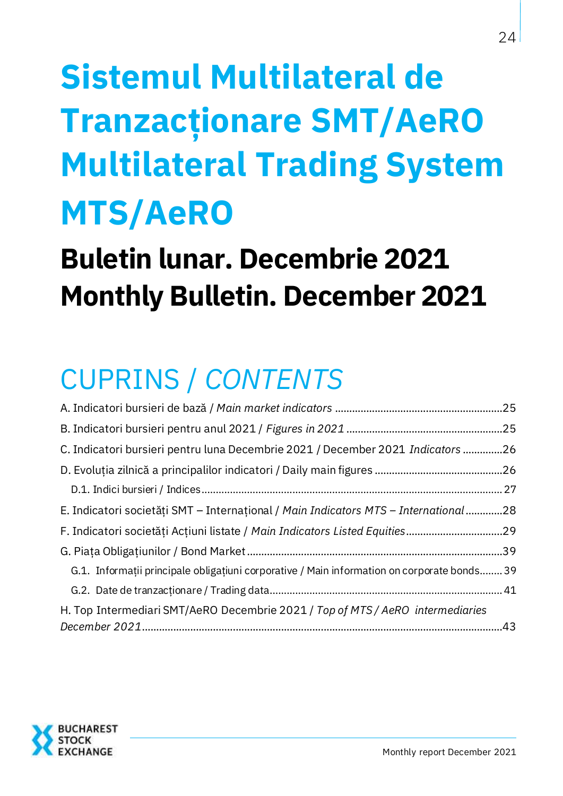# **Sistemul Multilateral de Tranzacţionare SMT/AeRO Multilateral Trading System MTS/AeRO**

# **Buletin lunar. Decembrie 2021 Monthly Bulletin. December 2021**

# CUPRINS / *CONTENTS*

| C. Indicatori bursieri pentru luna Decembrie 2021 / December 2021 Indicators 26             |  |
|---------------------------------------------------------------------------------------------|--|
|                                                                                             |  |
|                                                                                             |  |
| E. Indicatori societăți SMT - Internațional / Main Indicators MTS - International 28        |  |
|                                                                                             |  |
|                                                                                             |  |
| G.1. Informații principale obligațiuni corporative / Main information on corporate bonds 39 |  |
|                                                                                             |  |
| H. Top Intermediari SMT/AeRO Decembrie 2021 / Top of MTS / AeRO intermediaries              |  |

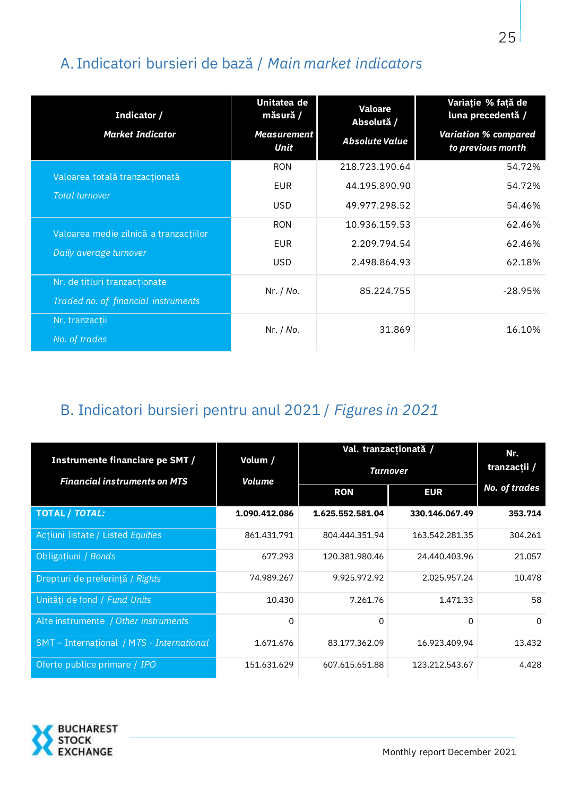# <span id="page-24-0"></span>A. Indicatori bursieri de bază / *Main market indicators*

| Indicator /<br><b>Market Indicator</b> | Unitatea de<br>măsură /<br><b>Measurement</b><br>Unit | <b>Valoare</b><br>Absolută /<br><b>Absolute Value</b> | Variație % față de<br>luna precedentă /<br><b>Variation % compared</b><br>to previous month |
|----------------------------------------|-------------------------------------------------------|-------------------------------------------------------|---------------------------------------------------------------------------------------------|
| Valoarea totală tranzacționată         | <b>RON</b>                                            | 218.723.190.64                                        | 54.72%                                                                                      |
| Total turnover                         | <b>EUR</b>                                            | 44.195.890.90                                         | 54.72%                                                                                      |
|                                        | <b>USD</b>                                            | 49.977.298.52                                         | 54.46%                                                                                      |
| Valoarea medie zilnică a tranzacțiilor | <b>RON</b>                                            | 10.936.159.53                                         | 62.46%                                                                                      |
| Daily average turnover                 | <b>EUR</b>                                            | 2.209.794.54                                          | 62.46%                                                                                      |
|                                        | <b>USD</b>                                            | 2.498.864.93                                          | 62.18%                                                                                      |
| Nr. de titluri tranzacționate          | Nr. / No.                                             | 85.224.755                                            | $-28.95%$                                                                                   |
| Traded no. of financial instruments    |                                                       |                                                       |                                                                                             |
| Nr. tranzacții                         | Nr. / No.                                             | 31.869                                                | 16.10%                                                                                      |
| No. of trades                          |                                                       |                                                       |                                                                                             |

## <span id="page-24-1"></span>B. Indicatori bursieri pentru anul 2021 / *Figures in 2021*

|                                                                        |                   | Nr.              |                |                      |
|------------------------------------------------------------------------|-------------------|------------------|----------------|----------------------|
| Instrumente financiare pe SMT /<br><b>Financial instruments on MTS</b> | Volum /<br>Volume | Turnover         | tranzacții /   |                      |
|                                                                        |                   | <b>RON</b>       | <b>EUR</b>     | <b>No. of trades</b> |
| <b>TOTAL / TOTAL:</b>                                                  | 1.090.412.086     | 1.625.552.581.04 | 330.146.067.49 | 353.714              |
| Acțiuni listate / Listed Equities                                      | 861.431.791       | 804.444.351.94   | 163.542.281.35 | 304.261              |
| Obligațiuni / Bonds                                                    | 677.293           | 120.381.980.46   | 24.440.403.96  | 21.057               |
| Drepturi de preferință / Rights                                        | 74.989.267        | 9.925.972.92     | 2.025.957.24   | 10.478               |
| Unități de fond / Fund Units                                           | 10.430            | 7.261.76         | 1.471.33       | 58                   |
| Alte instrumente / Other instruments                                   | 0                 | 0                | $\Omega$       | $\Omega$             |
| SMT - International / MTS - International                              | 1.671.676         | 83.177.362.09    | 16.923.409.94  | 13.432               |
| Oferte publice primare / IPO                                           | 151.631.629       | 607.615.651.88   | 123.212.543.67 | 4.428                |

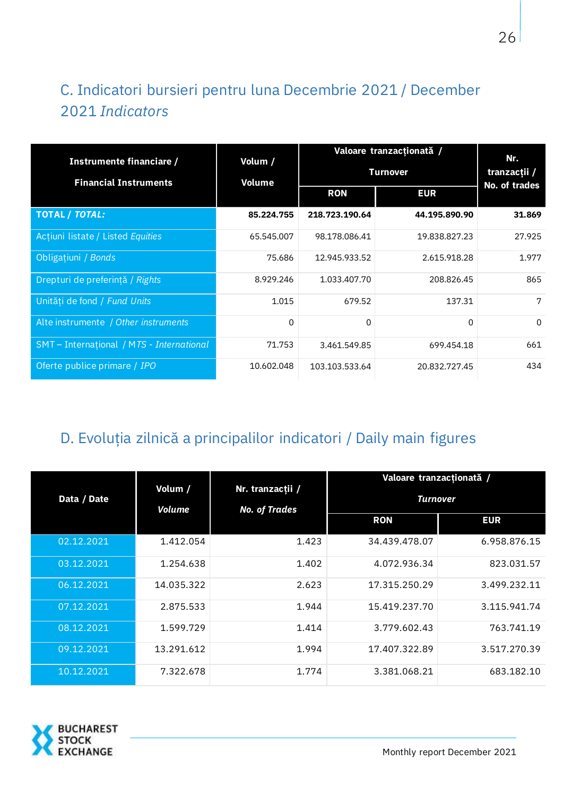# <span id="page-25-0"></span>C. Indicatori bursieri pentru luna Decembrie 2021 / December 2021 *Indicators*

| Instrumente financiare /<br><b>Financial Instruments</b> | Volum /<br>Volume | Valoare tranzacționată /<br><b>Turnover</b> | Nr.<br>tranzacții /<br><b>No. of trades</b> |          |
|----------------------------------------------------------|-------------------|---------------------------------------------|---------------------------------------------|----------|
|                                                          |                   | <b>RON</b>                                  | <b>EUR</b>                                  |          |
| <b>TOTAL / TOTAL:</b>                                    | 85.224.755        | 218.723.190.64                              | 44.195.890.90                               | 31.869   |
| Acțiuni listate / Listed Equities                        | 65.545.007        | 98.178.086.41                               | 19.838.827.23                               | 27.925   |
| Obligațiuni / Bonds                                      | 75.686            | 12.945.933.52                               | 2.615.918.28                                | 1.977    |
| Drepturi de preferință / Rights                          | 8.929.246         | 1.033.407.70                                | 208.826.45                                  | 865      |
| Unități de fond / Fund Units                             | 1.015             | 679.52                                      | 137.31                                      | 7        |
| Alte instrumente / Other instruments                     | 0                 | 0                                           | 0                                           | $\Omega$ |
| SMT-International / MTS - International                  | 71.753            | 3.461.549.85                                | 699.454.18                                  | 661      |
| Oferte publice primare / IPO                             | 10.602.048        | 103.103.533.64                              | 20.832.727.45                               | 434      |

## <span id="page-25-1"></span>D. Evoluția zilnică a principalilor indicatori / Daily main figures

|             |                   |                                          | Valoare tranzacționată / |              |
|-------------|-------------------|------------------------------------------|--------------------------|--------------|
| Data / Date | Volum /<br>Volume | Nr. tranzacții /<br><b>No. of Trades</b> | <b>Turnover</b>          |              |
|             |                   |                                          | <b>RON</b>               | <b>EUR</b>   |
| 02.12.2021  | 1.412.054         | 1.423                                    | 34.439.478.07            | 6.958.876.15 |
| 03.12.2021  | 1.254.638         | 1.402                                    | 4.072.936.34             | 823.031.57   |
| 06.12.2021  | 14.035.322        | 2.623                                    | 17.315.250.29            | 3.499.232.11 |
| 07.12.2021  | 2.875.533         | 1.944                                    | 15.419.237.70            | 3.115.941.74 |
| 08.12.2021  | 1.599.729         | 1.414                                    | 3.779.602.43             | 763.741.19   |
| 09.12.2021  | 13.291.612        | 1.994                                    | 17.407.322.89            | 3.517.270.39 |
| 10.12.2021  | 7.322.678         | 1.774                                    | 3.381.068.21             | 683.182.10   |

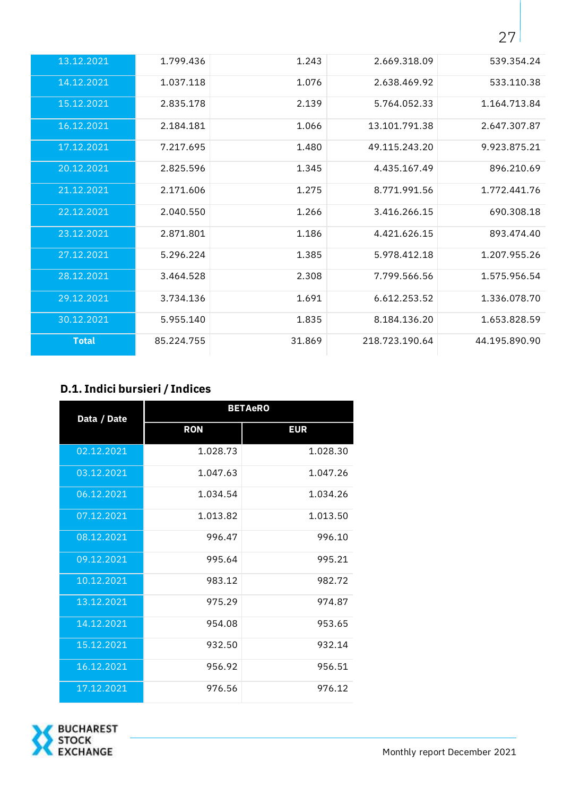| 13.12.2021   | 1.799.436  | 1.243  | 2.669.318.09   | 539.354.24    |
|--------------|------------|--------|----------------|---------------|
| 14.12.2021   | 1.037.118  | 1.076  | 2.638.469.92   | 533.110.38    |
| 15.12.2021   | 2.835.178  | 2.139  | 5.764.052.33   | 1.164.713.84  |
| 16.12.2021   | 2.184.181  | 1.066  | 13.101.791.38  | 2.647.307.87  |
| 17.12.2021   | 7.217.695  | 1.480  | 49.115.243.20  | 9.923.875.21  |
| 20.12.2021   | 2.825.596  | 1.345  | 4.435.167.49   | 896.210.69    |
| 21.12.2021   | 2.171.606  | 1.275  | 8.771.991.56   | 1.772.441.76  |
| 22.12.2021   | 2.040.550  | 1.266  | 3.416.266.15   | 690.308.18    |
| 23.12.2021   | 2.871.801  | 1.186  | 4.421.626.15   | 893.474.40    |
| 27.12.2021   | 5.296.224  | 1.385  | 5.978.412.18   | 1.207.955.26  |
| 28.12.2021   | 3.464.528  | 2.308  | 7.799.566.56   | 1.575.956.54  |
| 29.12.2021   | 3.734.136  | 1.691  | 6.612.253.52   | 1.336.078.70  |
| 30.12.2021   | 5.955.140  | 1.835  | 8.184.136.20   | 1.653.828.59  |
| <b>Total</b> | 85.224.755 | 31.869 | 218.723.190.64 | 44.195.890.90 |

## <span id="page-26-0"></span>**D.1. Indici bursieri / Indices**

| Data / Date | <b>BETAeRO</b> |            |  |
|-------------|----------------|------------|--|
|             | <b>RON</b>     | <b>EUR</b> |  |
| 02.12.2021  | 1.028.73       | 1.028.30   |  |
| 03.12.2021  | 1.047.63       | 1.047.26   |  |
| 06.12.2021  | 1.034.54       | 1.034.26   |  |
| 07.12.2021  | 1.013.82       | 1.013.50   |  |
| 08.12.2021  | 996.47         | 996.10     |  |
| 09.12.2021  | 995.64         | 995.21     |  |
| 10.12.2021  | 983.12         | 982.72     |  |
| 13.12.2021  | 975.29         | 974.87     |  |
| 14.12.2021  | 954.08         | 953.65     |  |
| 15.12.2021  | 932.50         | 932.14     |  |
| 16.12.2021  | 956.92         | 956.51     |  |
| 17,12,2021  | 976.56         | 976.12     |  |

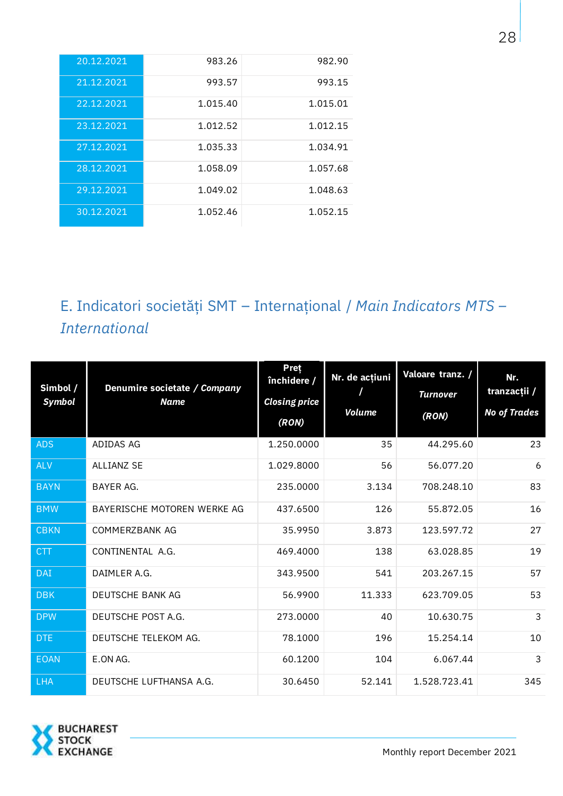| 20.12.2021 | 983.26   | 982.90   |
|------------|----------|----------|
| 21.12.2021 | 993.57   | 993.15   |
| 22.12.2021 | 1.015.40 | 1.015.01 |
| 23.12.2021 | 1.012.52 | 1.012.15 |
| 27.12.2021 | 1.035.33 | 1.034.91 |
| 28.12.2021 | 1.058.09 | 1.057.68 |
| 29.12.2021 | 1.049.02 | 1.048.63 |
| 30.12.2021 | 1.052.46 | 1.052.15 |

# <span id="page-27-0"></span>E. Indicatori societăţi SMT – Internaţional / *Main Indicators MTS – International*

| Simbol /<br>Symbol | Denumire societate / Company<br><b>Name</b> | <b>Pret</b><br>închidere /<br><b>Closing price</b><br>(RON) | Nr. de acțiuni<br><b>Volume</b> | Valoare tranz. /<br><b>Turnover</b><br>(RON) | Nr.<br>tranzacții /<br><b>No of Trades</b> |
|--------------------|---------------------------------------------|-------------------------------------------------------------|---------------------------------|----------------------------------------------|--------------------------------------------|
| <b>ADS</b>         | ADIDAS AG                                   | 1.250.0000                                                  | 35                              | 44.295.60                                    | 23                                         |
| <b>ALV</b>         | ALLIANZ SE                                  | 1.029.8000                                                  | 56                              | 56.077.20                                    | 6                                          |
| <b>BAYN</b>        | BAYER AG.                                   | 235.0000                                                    | 3.134                           | 708.248.10                                   | 83                                         |
| <b>BMW</b>         | BAYERISCHE MOTOREN WERKE AG                 | 437.6500                                                    | 126                             | 55.872.05                                    | 16                                         |
| <b>CBKN</b>        | COMMERZBANK AG                              | 35.9950                                                     | 3.873                           | 123.597.72                                   | 27                                         |
| <b>CTT</b>         | CONTINENTAL A.G.                            | 469.4000                                                    | 138                             | 63.028.85                                    | 19                                         |
| <b>DAI</b>         | DAIMLER A.G.                                | 343.9500                                                    | 541                             | 203.267.15                                   | 57                                         |
| <b>DBK</b>         | DEUTSCHE BANK AG                            | 56.9900                                                     | 11.333                          | 623.709.05                                   | 53                                         |
| <b>DPW</b>         | DEUTSCHE POST A.G.                          | 273.0000                                                    | 40                              | 10.630.75                                    | 3                                          |
| <b>DTE</b>         | DEUTSCHE TELEKOM AG.                        | 78.1000                                                     | 196                             | 15.254.14                                    | 10                                         |
| <b>EOAN</b>        | E.ON AG.                                    | 60.1200                                                     | 104                             | 6.067.44                                     | 3                                          |
| <b>LHA</b>         | DEUTSCHE LUFTHANSA A.G.                     | 30.6450                                                     | 52.141                          | 1.528.723.41                                 | 345                                        |

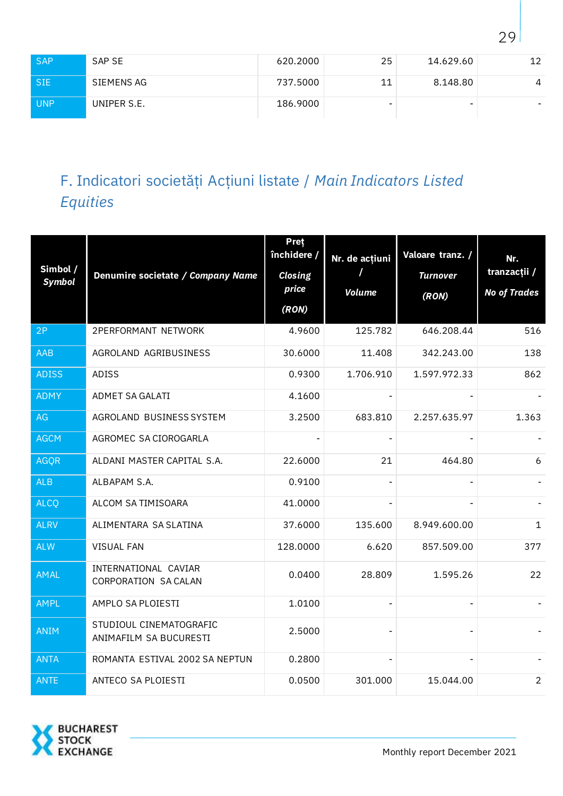| <b>SAP</b> | SAP SE      | 620.2000 | 25 | 14.629.60                | 12                       |
|------------|-------------|----------|----|--------------------------|--------------------------|
| <b>SIE</b> | SIEMENS AG  | 737.5000 | 11 | 8.148.80                 | 4                        |
| <b>UNP</b> | UNIPER S.E. | 186.9000 | -  | $\overline{\phantom{a}}$ | $\overline{\phantom{0}}$ |

# <span id="page-28-0"></span>F. Indicatori societăţi Acţiuni listate / *Main Indicators Listed Equities*

| Simbol /<br><b>Symbol</b> | Denumire societate / Company Name                 | Pret<br>închidere /<br><b>Closing</b><br>price<br>(RON) | Nr. de acțiuni<br><b>Volume</b> | Valoare tranz. /<br><b>Turnover</b><br>(RON) | Nr.<br>tranzacții /<br><b>No of Trades</b> |
|---------------------------|---------------------------------------------------|---------------------------------------------------------|---------------------------------|----------------------------------------------|--------------------------------------------|
| 2P                        | <b>2PERFORMANT NETWORK</b>                        | 4.9600                                                  | 125.782                         | 646.208.44                                   | 516                                        |
| AAB                       | AGROLAND AGRIBUSINESS                             | 30.6000                                                 | 11.408                          | 342.243.00                                   | 138                                        |
| <b>ADISS</b>              | <b>ADISS</b>                                      | 0.9300                                                  | 1.706.910                       | 1.597.972.33                                 | 862                                        |
| <b>ADMY</b>               | ADMET SA GALATI                                   | 4.1600                                                  |                                 |                                              |                                            |
| AG                        | AGROLAND BUSINESS SYSTEM                          | 3.2500                                                  | 683.810                         | 2.257.635.97                                 | 1.363                                      |
| <b>AGCM</b>               | AGROMEC SA CIOROGARLA                             |                                                         |                                 |                                              |                                            |
| <b>AGQR</b>               | ALDANI MASTER CAPITAL S.A.                        | 22.6000                                                 | 21                              | 464.80                                       | 6                                          |
| <b>ALB</b>                | ALBAPAM S.A.                                      | 0.9100                                                  | $\blacksquare$                  |                                              |                                            |
| <b>ALCQ</b>               | ALCOM SA TIMISOARA                                | 41.0000                                                 | $\blacksquare$                  |                                              |                                            |
| <b>ALRV</b>               | ALIMENTARA SA SLATINA                             | 37.6000                                                 | 135.600                         | 8.949.600.00                                 | $\mathbf 1$                                |
| <b>ALW</b>                | <b>VISUAL FAN</b>                                 | 128.0000                                                | 6.620                           | 857.509.00                                   | 377                                        |
| <b>AMAL</b>               | INTERNATIONAL CAVIAR<br>CORPORATION SA CALAN      | 0.0400                                                  | 28.809                          | 1.595.26                                     | 22                                         |
| <b>AMPL</b>               | AMPLO SA PLOIESTI                                 | 1.0100                                                  | $\blacksquare$                  |                                              |                                            |
| <b>ANIM</b>               | STUDIOUL CINEMATOGRAFIC<br>ANIMAFILM SA BUCURESTI | 2.5000                                                  |                                 |                                              |                                            |
| <b>ANTA</b>               | ROMANTA ESTIVAL 2002 SA NEPTUN                    | 0.2800                                                  |                                 |                                              |                                            |
| <b>ANTE</b>               | ANTECO SA PLOIESTI                                | 0.0500                                                  | 301.000                         | 15.044.00                                    | $\overline{2}$                             |

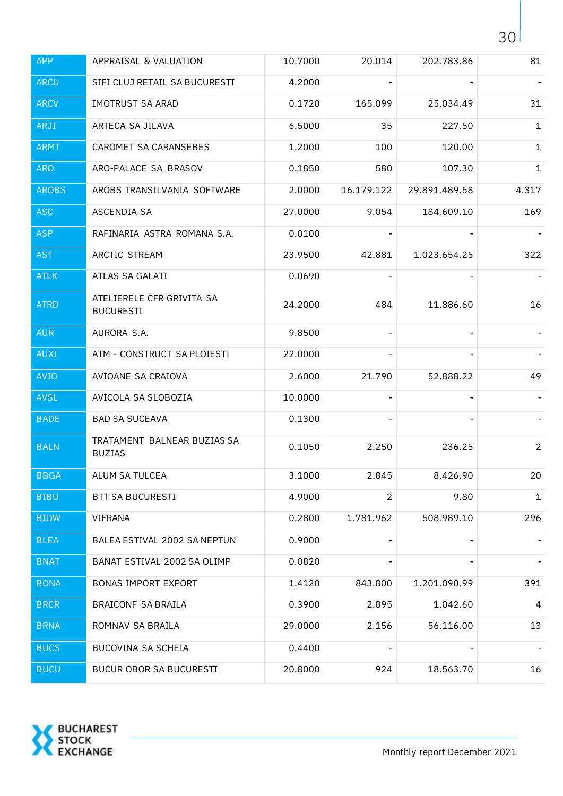| <b>APP</b>   | APPRAISAL & VALUATION                         | 10.7000 | 20.014         | 202.783.86    | 81             |
|--------------|-----------------------------------------------|---------|----------------|---------------|----------------|
| <b>ARCU</b>  | SIFI CLUJ RETAIL SA BUCURESTI                 | 4.2000  |                |               |                |
| <b>ARCV</b>  | <b>IMOTRUST SA ARAD</b>                       | 0.1720  | 165.099        | 25.034.49     | 31             |
| ARJI         | ARTECA SA JILAVA                              | 6.5000  | 35             | 227.50        | 1              |
| <b>ARMT</b>  | CAROMET SA CARANSEBES                         | 1.2000  | 100            | 120.00        | $\mathbf 1$    |
| <b>ARO</b>   | ARO-PALACE SA BRASOV                          | 0.1850  | 580            | 107.30        | 1              |
| <b>AROBS</b> | AROBS TRANSILVANIA SOFTWARE                   | 2.0000  | 16.179.122     | 29.891.489.58 | 4.317          |
| <b>ASC</b>   | ASCENDIA SA                                   | 27.0000 | 9.054          | 184.609.10    | 169            |
| <b>ASP</b>   | RAFINARIA ASTRA ROMANA S.A.                   | 0.0100  |                |               |                |
| <b>AST</b>   | ARCTIC STREAM                                 | 23.9500 | 42.881         | 1.023.654.25  | 322            |
| <b>ATLK</b>  | ATLAS SA GALATI                               | 0.0690  |                |               |                |
| <b>ATRD</b>  | ATELIERELE CFR GRIVITA SA<br><b>BUCURESTI</b> | 24.2000 | 484            | 11.886.60     | 16             |
| <b>AUR</b>   | AURORA S.A.                                   | 9.8500  |                |               |                |
| <b>AUXI</b>  | ATM - CONSTRUCT SA PLOIESTI                   | 22.0000 |                |               |                |
| <b>AVIO</b>  | AVIOANE SA CRAIOVA                            | 2.6000  | 21.790         | 52.888.22     | 49             |
| <b>AVSL</b>  | AVICOLA SA SLOBOZIA                           | 10.0000 |                |               |                |
| <b>BADE</b>  | <b>BAD SA SUCEAVA</b>                         | 0.1300  |                |               |                |
| <b>BALN</b>  | TRATAMENT BALNEAR BUZIAS SA<br><b>BUZIAS</b>  | 0.1050  | 2.250          | 236.25        | $\overline{a}$ |
| <b>BBGA</b>  | ALUM SA TULCEA                                | 3.1000  | 2.845          | 8.426.90      | 20             |
| <b>BIBU</b>  | <b>BTT SA BUCURESTI</b>                       | 4.9000  | $\overline{2}$ | 9.80          | $\mathbf 1$    |
| <b>BIOW</b>  | VIFRANA                                       | 0.2800  | 1.781.962      | 508.989.10    | 296            |
| <b>BLEA</b>  | BALEA ESTIVAL 2002 SA NEPTUN                  | 0.9000  |                |               |                |
| <b>BNAT</b>  | BANAT ESTIVAL 2002 SA OLIMP                   | 0.0820  |                |               |                |
| <b>BONA</b>  | <b>BONAS IMPORT EXPORT</b>                    | 1.4120  | 843.800        | 1.201.090.99  | 391            |
| <b>BRCR</b>  | <b>BRAICONF SA BRAILA</b>                     | 0.3900  | 2.895          | 1.042.60      | 4              |
| <b>BRNA</b>  | ROMNAV SA BRAILA                              | 29.0000 | 2.156          | 56.116.00     | 13             |
| <b>BUCS</b>  | BUCOVINA SA SCHEIA                            | 0.4400  |                |               |                |
| <b>BUCU</b>  | <b>BUCUR OBOR SA BUCURESTI</b>                | 20.8000 | 924            | 18.563.70     | 16             |

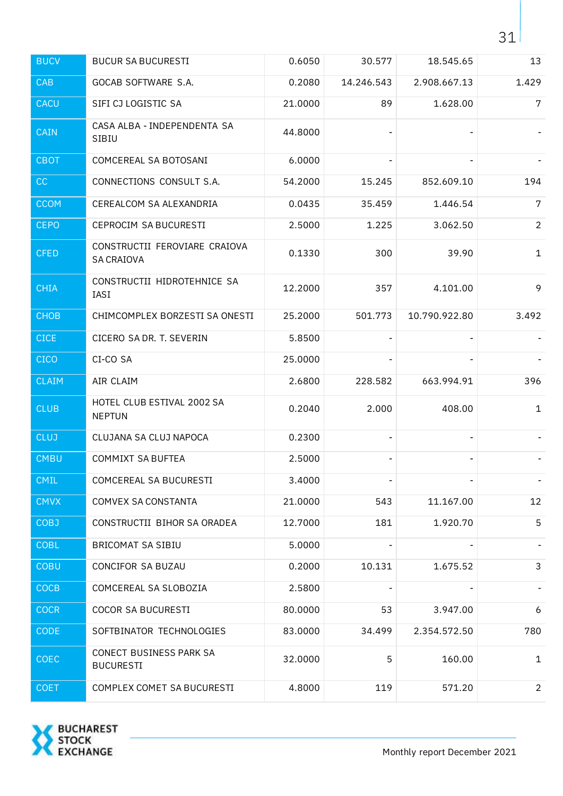| <b>BUCV</b>  | <b>BUCUR SA BUCURESTI</b>                          | 0.6050  | 30.577     | 18.545.65     | 13             |
|--------------|----------------------------------------------------|---------|------------|---------------|----------------|
| <b>CAB</b>   | GOCAB SOFTWARE S.A.                                | 0.2080  | 14.246.543 | 2.908.667.13  | 1.429          |
| <b>CACU</b>  | SIFI CJ LOGISTIC SA                                | 21.0000 | 89         | 1.628.00      | $\overline{7}$ |
| <b>CAIN</b>  | CASA ALBA - INDEPENDENTA SA<br>SIBIU               | 44.8000 |            |               |                |
| <b>CBOT</b>  | COMCEREAL SA BOTOSANI                              | 6.0000  |            |               |                |
| CC           | CONNECTIONS CONSULT S.A.                           | 54.2000 | 15.245     | 852.609.10    | 194            |
| <b>CCOM</b>  | CEREALCOM SA ALEXANDRIA                            | 0.0435  | 35.459     | 1.446.54      | $\overline{7}$ |
| <b>CEPO</b>  | CEPROCIM SA BUCURESTI                              | 2.5000  | 1.225      | 3.062.50      | $\overline{2}$ |
| <b>CFED</b>  | CONSTRUCTII FEROVIARE CRAIOVA<br><b>SA CRAIOVA</b> | 0.1330  | 300        | 39.90         | $\mathbf 1$    |
| <b>CHIA</b>  | CONSTRUCTII HIDROTEHNICE SA<br>IASI                | 12.2000 | 357        | 4.101.00      | 9              |
| <b>CHOB</b>  | CHIMCOMPLEX BORZESTI SA ONESTI                     | 25.2000 | 501.773    | 10.790.922.80 | 3.492          |
| <b>CICE</b>  | CICERO SA DR. T. SEVERIN                           | 5.8500  |            |               |                |
| <b>CICO</b>  | CI-CO SA                                           | 25.0000 |            |               |                |
| <b>CLAIM</b> | AIR CLAIM                                          | 2.6800  | 228.582    | 663.994.91    | 396            |
| <b>CLUB</b>  | HOTEL CLUB ESTIVAL 2002 SA<br><b>NEPTUN</b>        | 0.2040  | 2.000      | 408.00        | $\mathbf{1}$   |
| <b>CLUJ</b>  | CLUJANA SA CLUJ NAPOCA                             | 0.2300  |            |               |                |
| <b>CMBU</b>  | <b>COMMIXT SA BUFTEA</b>                           | 2.5000  |            |               |                |
| CMIL         | COMCEREAL SA BUCURESTI                             | 3.4000  |            |               |                |
| <b>CMVX</b>  | COMVEX SA CONSTANTA                                | 21.0000 | 543        | 11.167.00     | 12             |
| <b>COBJ</b>  | CONSTRUCTII BIHOR SA ORADEA                        | 12.7000 | 181        | 1.920.70      | 5              |
| <b>COBL</b>  | <b>BRICOMAT SA SIBIU</b>                           | 5.0000  |            |               |                |
| <b>COBU</b>  | CONCIFOR SA BUZAU                                  | 0.2000  | 10.131     | 1.675.52      | 3              |
| <b>COCB</b>  | COMCEREAL SA SLOBOZIA                              | 2.5800  |            |               |                |
| <b>COCR</b>  | COCOR SA BUCURESTI                                 | 80.0000 | 53         | 3.947.00      | 6              |
| <b>CODE</b>  | SOFTBINATOR TECHNOLOGIES                           | 83.0000 | 34.499     | 2.354.572.50  | 780            |
| <b>COEC</b>  | CONECT BUSINESS PARK SA<br><b>BUCURESTI</b>        | 32.0000 | 5          | 160.00        | $\mathbf{1}$   |
| <b>COET</b>  | COMPLEX COMET SA BUCURESTI                         | 4.8000  | 119        | 571.20        | $\overline{2}$ |

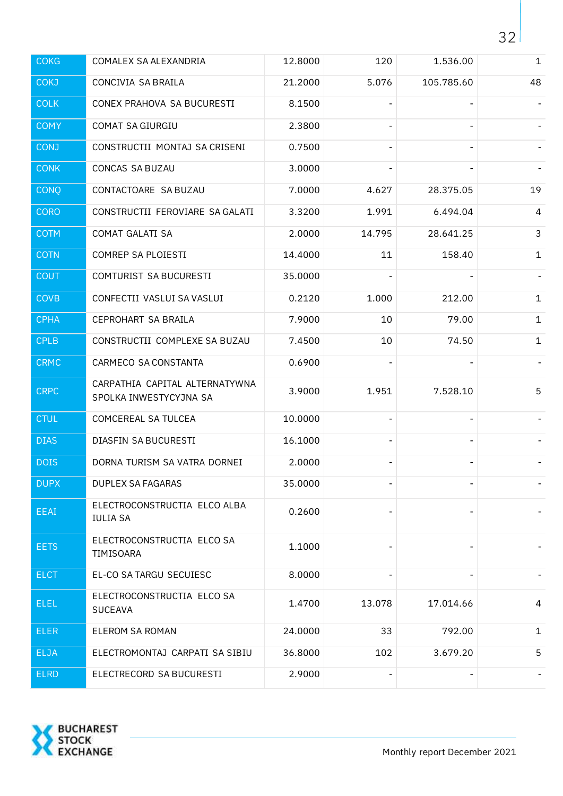| <b>COKG</b> | COMALEX SA ALEXANDRIA                                    | 12.8000 | 120    | 1.536.00       | $\mathbf{1}$ |
|-------------|----------------------------------------------------------|---------|--------|----------------|--------------|
| <b>COKJ</b> | CONCIVIA SA BRAILA                                       | 21.2000 | 5.076  | 105.785.60     | 48           |
| <b>COLK</b> | CONEX PRAHOVA SA BUCURESTI                               | 8.1500  |        |                |              |
| <b>COMY</b> | COMAT SA GIURGIU                                         | 2.3800  |        |                |              |
| <b>CONJ</b> | CONSTRUCTII MONTAJ SA CRISENI                            | 0.7500  |        |                |              |
| <b>CONK</b> | <b>CONCAS SA BUZAU</b>                                   | 3.0000  |        |                |              |
| <b>CONQ</b> | CONTACTOARE SA BUZAU                                     | 7.0000  | 4.627  | 28.375.05      | 19           |
| <b>CORO</b> | CONSTRUCTII FEROVIARE SA GALATI                          | 3.3200  | 1.991  | 6.494.04       | 4            |
| <b>COTM</b> | COMAT GALATI SA                                          | 2.0000  | 14.795 | 28.641.25      | $\mathsf{3}$ |
| <b>COTN</b> | COMREP SA PLOIESTI                                       | 14.4000 | 11     | 158.40         | $\mathbf 1$  |
| <b>COUT</b> | COMTURIST SA BUCURESTI                                   | 35.0000 |        |                |              |
| <b>COVB</b> | CONFECTII VASLUI SA VASLUI                               | 0.2120  | 1.000  | 212.00         | $\mathbf 1$  |
| <b>CPHA</b> | CEPROHART SA BRAILA                                      | 7.9000  | 10     | 79.00          | $\mathbf{1}$ |
| <b>CPLB</b> | CONSTRUCTII COMPLEXE SA BUZAU                            | 7.4500  | 10     | 74.50          | $\mathbf{1}$ |
| <b>CRMC</b> | CARMECO SA CONSTANTA                                     | 0.6900  |        |                |              |
| <b>CRPC</b> | CARPATHIA CAPITAL ALTERNATYWNA<br>SPOLKA INWESTYCYJNA SA | 3.9000  | 1.951  | 7.528.10       | 5            |
| <b>CTUL</b> | COMCEREAL SA TULCEA                                      | 10.0000 |        |                |              |
| <b>DIAS</b> | DIASFIN SA BUCURESTI                                     | 16.1000 |        | $\blacksquare$ |              |
| <b>DOIS</b> | DORNA TURISM SA VATRA DORNEI                             | 2.0000  |        |                |              |
| <b>DUPX</b> | <b>DUPLEX SA FAGARAS</b>                                 | 35.0000 |        |                |              |
| EEAI        | ELECTROCONSTRUCTIA ELCO ALBA<br><b>IULIA SA</b>          | 0.2600  |        |                |              |
| <b>EETS</b> | ELECTROCONSTRUCTIA ELCO SA<br>TIMISOARA                  | 1.1000  |        |                |              |
| <b>ELCT</b> | EL-CO SA TARGU SECUIESC                                  | 8.0000  |        |                |              |
| <b>ELEL</b> | ELECTROCONSTRUCTIA ELCO SA<br><b>SUCEAVA</b>             | 1.4700  | 13.078 | 17.014.66      | 4            |
| <b>ELER</b> | <b>ELEROM SA ROMAN</b>                                   | 24.0000 | 33     | 792.00         | $\mathbf 1$  |
| ELJA        | ELECTROMONTAJ CARPATI SA SIBIU                           | 36.8000 | 102    | 3.679.20       | 5            |
| <b>ELRD</b> | ELECTRECORD SA BUCURESTI                                 | 2.9000  |        |                |              |

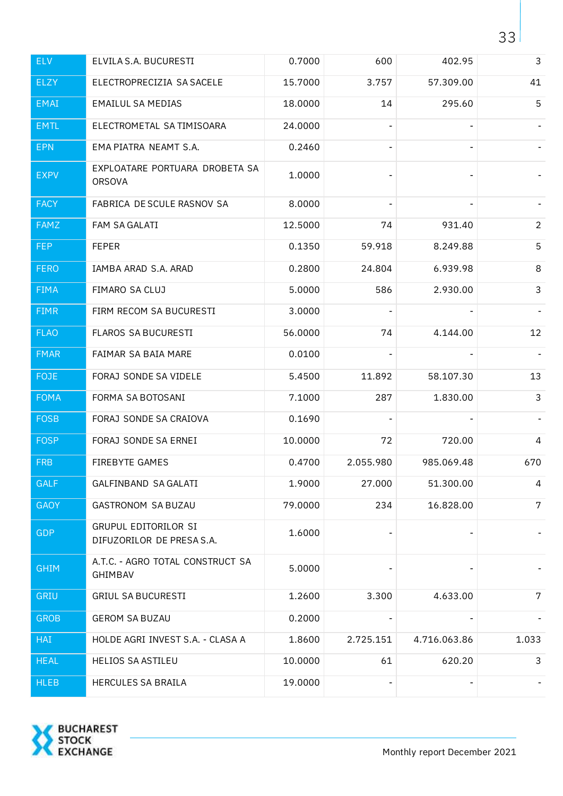| <b>ELV</b>  | ELVILA S.A. BUCURESTI                             | 0.7000  | 600                      | 402.95       | 3              |
|-------------|---------------------------------------------------|---------|--------------------------|--------------|----------------|
| ELZY        | ELECTROPRECIZIA SA SACELE                         | 15.7000 | 3.757                    | 57.309.00    | 41             |
| <b>EMAI</b> | <b>EMAILUL SA MEDIAS</b>                          | 18.0000 | 14                       | 295.60       | 5              |
| <b>EMTL</b> | ELECTROMETAL SA TIMISOARA                         | 24.0000 | $\overline{\phantom{a}}$ |              |                |
| <b>EPN</b>  | EMA PIATRA NEAMT S.A.                             | 0.2460  |                          |              |                |
| <b>EXPV</b> | EXPLOATARE PORTUARA DROBETA SA<br><b>ORSOVA</b>   | 1.0000  |                          |              |                |
| <b>FACY</b> | FABRICA DE SCULE RASNOV SA                        | 8.0000  |                          |              |                |
| <b>FAMZ</b> | FAM SA GALATI                                     | 12.5000 | 74                       | 931.40       | $\overline{2}$ |
| <b>FEP</b>  | <b>FEPER</b>                                      | 0.1350  | 59.918                   | 8.249.88     | 5              |
| <b>FERO</b> | IAMBA ARAD S.A. ARAD                              | 0.2800  | 24.804                   | 6.939.98     | 8              |
| <b>FIMA</b> | FIMARO SA CLUJ                                    | 5.0000  | 586                      | 2.930.00     | 3              |
| <b>FIMR</b> | FIRM RECOM SA BUCURESTI                           | 3.0000  |                          |              |                |
| <b>FLAO</b> | <b>FLAROS SA BUCURESTI</b>                        | 56.0000 | 74                       | 4.144.00     | 12             |
| <b>FMAR</b> | FAIMAR SA BAIA MARE                               | 0.0100  |                          |              |                |
| FOJE        | FORAJ SONDE SA VIDELE                             | 5.4500  | 11.892                   | 58.107.30    | 13             |
| <b>FOMA</b> | FORMA SA BOTOSANI                                 | 7.1000  | 287                      | 1.830.00     | 3              |
| <b>FOSB</b> | FORAJ SONDE SA CRAIOVA                            | 0.1690  |                          |              |                |
| <b>FOSP</b> | FORAJ SONDE SA ERNEI                              | 10.0000 | 72                       | 720.00       | 4              |
| <b>FRB</b>  | FIREBYTE GAMES                                    | 0.4700  | 2.055.980                | 985.069.48   | 670            |
| <b>GALF</b> | GALFINBAND SA GALATI                              | 1.9000  | 27.000                   | 51.300.00    | 4              |
| <b>GAOY</b> | GASTRONOM SA BUZAU                                | 79.0000 | 234                      | 16.828.00    | 7 <sup>1</sup> |
| <b>GDP</b>  | GRUPUL EDITORILOR SI<br>DIFUZORILOR DE PRESA S.A. | 1.6000  |                          |              |                |
| <b>GHIM</b> | A.T.C. - AGRO TOTAL CONSTRUCT SA<br>GHIMBAV       | 5.0000  |                          |              |                |
| GRIU        | <b>GRIUL SA BUCURESTI</b>                         | 1.2600  | 3.300                    | 4.633.00     | 7              |
| <b>GROB</b> | <b>GEROM SA BUZAU</b>                             | 0.2000  |                          |              |                |
| <b>HAI</b>  | HOLDE AGRI INVEST S.A. - CLASA A                  | 1.8600  | 2.725.151                | 4.716.063.86 | 1.033          |
| <b>HEAL</b> | <b>HELIOS SA ASTILEU</b>                          | 10.0000 | 61                       | 620.20       | 3              |
| <b>HLEB</b> | HERCULES SA BRAILA                                | 19.0000 |                          |              |                |

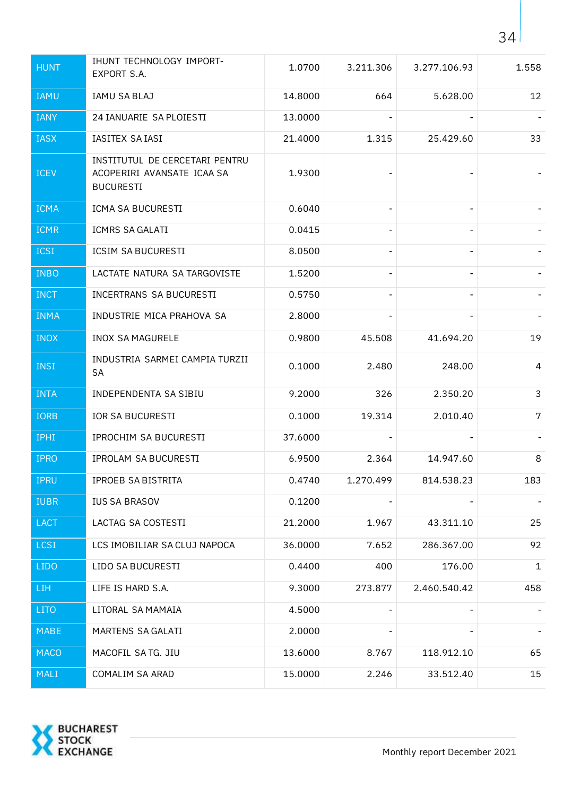| <b>HUNT</b> | IHUNT TECHNOLOGY IMPORT-<br>EXPORT S.A.                                          | 1.0700  | 3.211.306 | 3.277.106.93 | 1.558       |
|-------------|----------------------------------------------------------------------------------|---------|-----------|--------------|-------------|
| <b>IAMU</b> | IAMU SA BLAJ                                                                     | 14.8000 | 664       | 5.628.00     | 12          |
| <b>IANY</b> | 24 IANUARIE SA PLOIESTI                                                          | 13.0000 |           |              |             |
| <b>IASX</b> | IASITEX SA IASI                                                                  | 21.4000 | 1.315     | 25.429.60    | 33          |
| <b>ICEV</b> | INSTITUTUL DE CERCETARI PENTRU<br>ACOPERIRI AVANSATE ICAA SA<br><b>BUCURESTI</b> | 1.9300  |           |              |             |
| <b>ICMA</b> | ICMA SA BUCURESTI                                                                | 0.6040  |           |              |             |
| <b>ICMR</b> | ICMRS SA GALATI                                                                  | 0.0415  |           |              |             |
| <b>ICSI</b> | <b>ICSIM SA BUCURESTI</b>                                                        | 8.0500  |           |              |             |
| <b>INBO</b> | LACTATE NATURA SA TARGOVISTE                                                     | 1.5200  |           |              |             |
| <b>INCT</b> | INCERTRANS SA BUCURESTI                                                          | 0.5750  |           |              |             |
| <b>INMA</b> | INDUSTRIE MICA PRAHOVA SA                                                        | 2.8000  |           |              |             |
| <b>INOX</b> | <b>INOX SA MAGURELE</b>                                                          | 0.9800  | 45.508    | 41.694.20    | 19          |
| <b>INSI</b> | INDUSTRIA SARMEI CAMPIA TURZII<br><b>SA</b>                                      | 0.1000  | 2.480     | 248.00       | 4           |
| <b>INTA</b> | INDEPENDENTA SA SIBIU                                                            | 9.2000  | 326       | 2.350.20     | 3           |
| <b>IORB</b> | <b>IOR SA BUCURESTI</b>                                                          | 0.1000  | 19.314    | 2.010.40     | 7           |
| IPHI        | IPROCHIM SA BUCURESTI                                                            | 37.6000 |           |              |             |
| <b>IPRO</b> | IPROLAM SA BUCURESTI                                                             | 6.9500  | 2.364     | 14.947.60    | 8           |
| <b>IPRU</b> | IPROEB SA BISTRITA                                                               | 0.4740  | 1.270.499 | 814.538.23   | 183         |
| <b>IUBR</b> | <b>IUS SA BRASOV</b>                                                             | 0.1200  |           |              |             |
| <b>LACT</b> | LACTAG SA COSTESTI                                                               | 21.2000 | 1.967     | 43.311.10    | 25          |
| <b>LCSI</b> | LCS IMOBILIAR SA CLUJ NAPOCA                                                     | 36.0000 | 7.652     | 286.367.00   | 92          |
| <b>LIDO</b> | LIDO SA BUCURESTI                                                                | 0.4400  | 400       | 176.00       | $\mathbf 1$ |
| <b>LIH</b>  | LIFE IS HARD S.A.                                                                | 9.3000  | 273.877   | 2.460.540.42 | 458         |
| <b>LITO</b> | LITORAL SA MAMAIA                                                                | 4.5000  |           |              |             |
| <b>MABE</b> | MARTENS SA GALATI                                                                | 2.0000  |           |              |             |
| <b>MACO</b> | MACOFIL SATG. JIU                                                                | 13.6000 | 8.767     | 118.912.10   | 65          |
| MALI        | COMALIM SA ARAD                                                                  | 15.0000 | 2.246     | 33.512.40    | 15          |

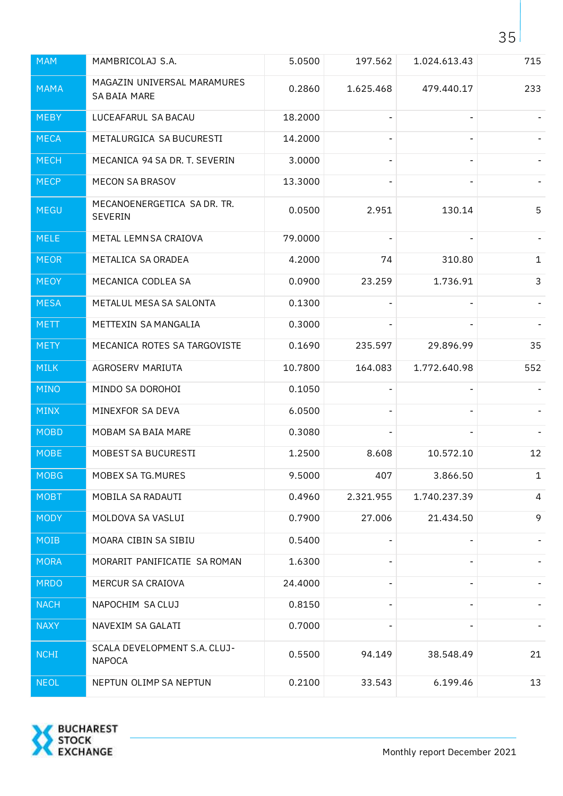| <b>MAM</b>  | MAMBRICOLAJ S.A.                              | 5.0500  | 197.562        | 1.024.613.43 | 715          |
|-------------|-----------------------------------------------|---------|----------------|--------------|--------------|
| <b>MAMA</b> | MAGAZIN UNIVERSAL MARAMURES<br>SA BAIA MARE   | 0.2860  | 1.625.468      | 479.440.17   | 233          |
| <b>MEBY</b> | LUCEAFARUL SA BACAU                           | 18.2000 |                |              |              |
| <b>MECA</b> | METALURGICA SA BUCURESTI                      | 14.2000 |                |              |              |
| <b>MECH</b> | MECANICA 94 SA DR. T. SEVERIN                 | 3.0000  |                |              |              |
| <b>MECP</b> | <b>MECON SA BRASOV</b>                        | 13.3000 |                |              |              |
| <b>MEGU</b> | MECANOENERGETICA SA DR. TR.<br>SEVERIN        | 0.0500  | 2.951          | 130.14       | 5            |
| <b>MELE</b> | METAL LEMN SA CRAIOVA                         | 79.0000 |                |              |              |
| <b>MEOR</b> | METALICA SA ORADEA                            | 4.2000  | 74             | 310.80       | $\mathbf{1}$ |
| <b>MEOY</b> | MECANICA CODLEA SA                            | 0.0900  | 23.259         | 1.736.91     | 3            |
| <b>MESA</b> | METALUL MESA SA SALONTA                       | 0.1300  |                |              |              |
| <b>METT</b> | METTEXIN SA MANGALIA                          | 0.3000  |                |              |              |
| <b>METY</b> | MECANICA ROTES SA TARGOVISTE                  | 0.1690  | 235.597        | 29.896.99    | 35           |
| <b>MILK</b> | AGROSERV MARIUTA                              | 10.7800 | 164.083        | 1.772.640.98 | 552          |
| <b>MINO</b> | MINDO SA DOROHOI                              | 0.1050  |                |              |              |
| <b>MINX</b> | MINEXFOR SA DEVA                              | 6.0500  |                |              |              |
| <b>MOBD</b> | MOBAM SA BAIA MARE                            | 0.3080  |                |              |              |
| <b>MOBE</b> | MOBEST SA BUCURESTI                           | 1.2500  | 8.608          | 10.572.10    | 12           |
| <b>MOBG</b> | MOBEX SA TG.MURES                             | 9.5000  | 407            | 3.866.50     | $\mathbf{1}$ |
| <b>MOBT</b> | MOBILA SA RADAUTI                             | 0.4960  | 2.321.955      | 1.740.237.39 | 4            |
| <b>MODY</b> | MOLDOVA SA VASLUI                             | 0.7900  | 27.006         | 21.434.50    | 9            |
| MOIB        | MOARA CIBIN SA SIBIU                          | 0.5400  |                |              |              |
| <b>MORA</b> | MORARIT PANIFICATIE SA ROMAN                  | 1.6300  |                |              |              |
| <b>MRDO</b> | MERCUR SA CRAIOVA                             | 24.4000 |                |              |              |
| <b>NACH</b> | NAPOCHIM SA CLUJ                              | 0.8150  | $\blacksquare$ |              |              |
| <b>NAXY</b> | NAVEXIM SA GALATI                             | 0.7000  |                |              |              |
| <b>NCHI</b> | SCALA DEVELOPMENT S.A. CLUJ-<br><b>NAPOCA</b> | 0.5500  | 94.149         | 38.548.49    | 21           |
| <b>NEOL</b> | NEPTUN OLIMP SA NEPTUN                        | 0.2100  | 33.543         | 6.199.46     | 13           |

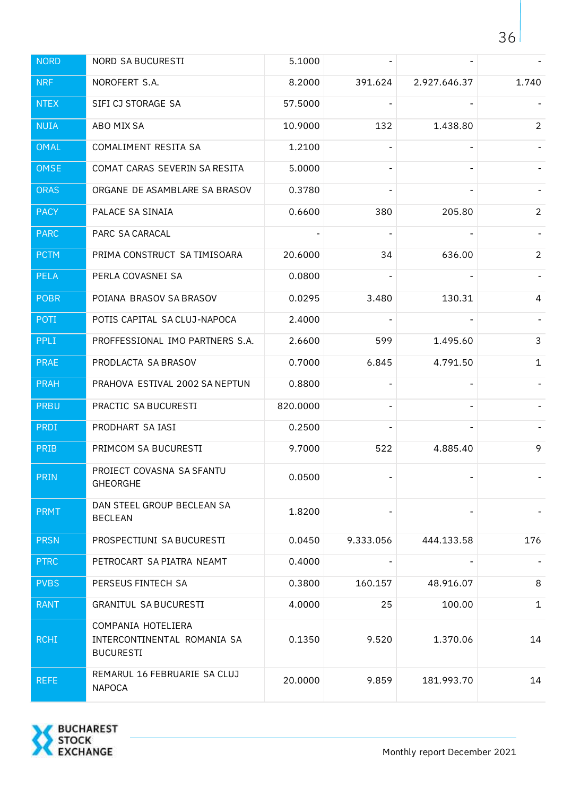| <b>NORD</b> | <b>NORD SA BUCURESTI</b>                                              | 5.1000   |           |              |                |
|-------------|-----------------------------------------------------------------------|----------|-----------|--------------|----------------|
| <b>NRF</b>  | NOROFERT S.A.                                                         | 8.2000   | 391.624   | 2.927.646.37 | 1.740          |
| <b>NTEX</b> | SIFI CJ STORAGE SA                                                    | 57.5000  |           |              |                |
| <b>NUIA</b> | ABO MIX SA                                                            | 10.9000  | 132       | 1.438.80     | $\overline{2}$ |
| <b>OMAL</b> | COMALIMENT RESITA SA                                                  | 1.2100   |           |              |                |
| <b>OMSE</b> | COMAT CARAS SEVERIN SA RESITA                                         | 5.0000   |           |              |                |
| <b>ORAS</b> | ORGANE DE ASAMBLARE SA BRASOV                                         | 0.3780   |           |              |                |
| <b>PACY</b> | PALACE SA SINAIA                                                      | 0.6600   | 380       | 205.80       | $2^{\circ}$    |
| <b>PARC</b> | PARC SA CARACAL                                                       |          |           |              |                |
| <b>PCTM</b> | PRIMA CONSTRUCT SA TIMISOARA                                          | 20.6000  | 34        | 636.00       | $2^{\circ}$    |
| <b>PELA</b> | PERLA COVASNEI SA                                                     | 0.0800   |           |              |                |
| <b>POBR</b> | POIANA BRASOV SA BRASOV                                               | 0.0295   | 3.480     | 130.31       | 4              |
| POTI        | POTIS CAPITAL SA CLUJ-NAPOCA                                          | 2.4000   |           |              |                |
| <b>PPLI</b> | PROFFESSIONAL IMO PARTNERS S.A.                                       | 2.6600   | 599       | 1.495.60     | 3              |
| <b>PRAE</b> | PRODLACTA SA BRASOV                                                   | 0.7000   | 6.845     | 4.791.50     | $\mathbf{1}$   |
| <b>PRAH</b> | PRAHOVA ESTIVAL 2002 SA NEPTUN                                        | 0.8800   |           |              |                |
| <b>PRBU</b> | PRACTIC SA BUCURESTI                                                  | 820.0000 |           |              |                |
| PRDI        | PRODHART SA IASI                                                      | 0.2500   |           |              |                |
| <b>PRIB</b> | PRIMCOM SA BUCURESTI                                                  | 9.7000   | 522       | 4.885.40     | 9              |
| <b>PRIN</b> | PROIECT COVASNA SA SFANTU<br><b>GHEORGHE</b>                          | 0.0500   |           |              |                |
| <b>PRMT</b> | DAN STEEL GROUP BECLEAN SA<br><b>BECLEAN</b>                          | 1.8200   |           |              |                |
| <b>PRSN</b> | PROSPECTIUNI SA BUCURESTI                                             | 0.0450   | 9.333.056 | 444.133.58   | 176            |
| <b>PTRC</b> | PETROCART SA PIATRA NEAMT                                             | 0.4000   |           |              |                |
| <b>PVBS</b> | PERSEUS FINTECH SA                                                    | 0.3800   | 160.157   | 48.916.07    | 8              |
| <b>RANT</b> | <b>GRANITUL SA BUCURESTI</b>                                          | 4.0000   | 25        | 100.00       | $\mathbf{1}$   |
| <b>RCHI</b> | COMPANIA HOTELIERA<br>INTERCONTINENTAL ROMANIA SA<br><b>BUCURESTI</b> | 0.1350   | 9.520     | 1.370.06     | 14             |
| <b>REFE</b> | REMARUL 16 FEBRUARIE SA CLUJ<br><b>NAPOCA</b>                         | 20.0000  | 9.859     | 181.993.70   | 14             |

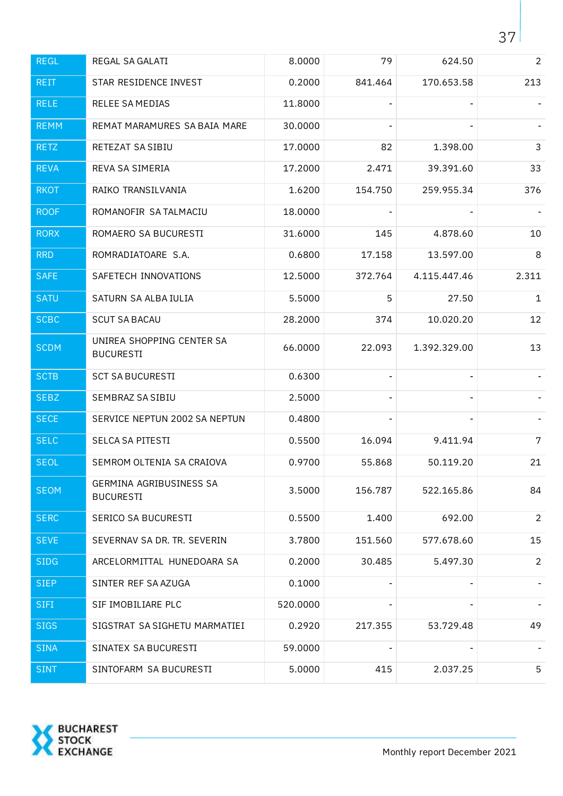| <b>REGL</b> | REGAL SA GALATI                               | 8.0000   | 79      | 624.50         | $\overline{2}$ |
|-------------|-----------------------------------------------|----------|---------|----------------|----------------|
| <b>REIT</b> | STAR RESIDENCE INVEST                         | 0.2000   | 841.464 | 170.653.58     | 213            |
| <b>RELE</b> | RELEE SA MEDIAS                               | 11.8000  |         |                |                |
| <b>REMM</b> | REMAT MARAMURES SA BAIA MARE                  | 30.0000  |         |                |                |
| <b>RETZ</b> | RETEZAT SA SIBIU                              | 17.0000  | 82      | 1.398.00       | $\mathsf{3}$   |
| <b>REVA</b> | REVA SA SIMERIA                               | 17.2000  | 2.471   | 39.391.60      | 33             |
| <b>RKOT</b> | RAIKO TRANSILVANIA                            | 1.6200   | 154.750 | 259.955.34     | 376            |
| <b>ROOF</b> | ROMANOFIR SA TALMACIU                         | 18.0000  |         |                |                |
| <b>RORX</b> | ROMAERO SA BUCURESTI                          | 31.6000  | 145     | 4.878.60       | 10             |
| <b>RRD</b>  | ROMRADIATOARE S.A.                            | 0.6800   | 17.158  | 13.597.00      | 8              |
| <b>SAFE</b> | SAFETECH INNOVATIONS                          | 12.5000  | 372.764 | 4.115.447.46   | 2.311          |
| <b>SATU</b> | SATURN SA ALBA IULIA                          | 5.5000   | 5       | 27.50          | $\mathbf{1}$   |
| <b>SCBC</b> | <b>SCUT SA BACAU</b>                          | 28.2000  | 374     | 10.020.20      | 12             |
| <b>SCDM</b> | UNIREA SHOPPING CENTER SA<br><b>BUCURESTI</b> | 66.0000  | 22.093  | 1.392.329.00   | 13             |
| <b>SCTB</b> | <b>SCT SA BUCURESTI</b>                       | 0.6300   |         |                |                |
| <b>SEBZ</b> | SEMBRAZ SA SIBIU                              | 2.5000   |         | $\blacksquare$ |                |
| <b>SECE</b> | SERVICE NEPTUN 2002 SA NEPTUN                 | 0.4800   |         |                |                |
| <b>SELC</b> | SELCA SA PITESTI                              | 0.5500   | 16.094  | 9.411.94       | $\overline{7}$ |
| <b>SEOL</b> | SEMROM OLTENIA SA CRAIOVA                     | 0.9700   | 55.868  | 50.119.20      | 21             |
| <b>SEOM</b> | GERMINA AGRIBUSINESS SA<br><b>BUCURESTI</b>   | 3.5000   | 156.787 | 522.165.86     | 84             |
| <b>SERC</b> | SERICO SA BUCURESTI                           | 0.5500   | 1.400   | 692.00         | $\overline{2}$ |
| <b>SEVE</b> | SEVERNAV SA DR. TR. SEVERIN                   | 3.7800   | 151.560 | 577.678.60     | 15             |
| <b>SIDG</b> | ARCELORMITTAL HUNEDOARA SA                    | 0.2000   | 30.485  | 5.497.30       | $\overline{2}$ |
| <b>SIEP</b> | SINTER REF SA AZUGA                           | 0.1000   |         |                |                |
| <b>SIFI</b> | SIF IMOBILIARE PLC                            | 520.0000 |         |                | $\blacksquare$ |
| <b>SIGS</b> | SIGSTRAT SA SIGHETU MARMATIEI                 | 0.2920   | 217.355 | 53.729.48      | 49             |
| <b>SINA</b> | SINATEX SA BUCURESTI                          | 59.0000  |         |                |                |
| <b>SINT</b> | SINTOFARM SA BUCURESTI                        | 5.0000   | 415     | 2.037.25       | 5              |

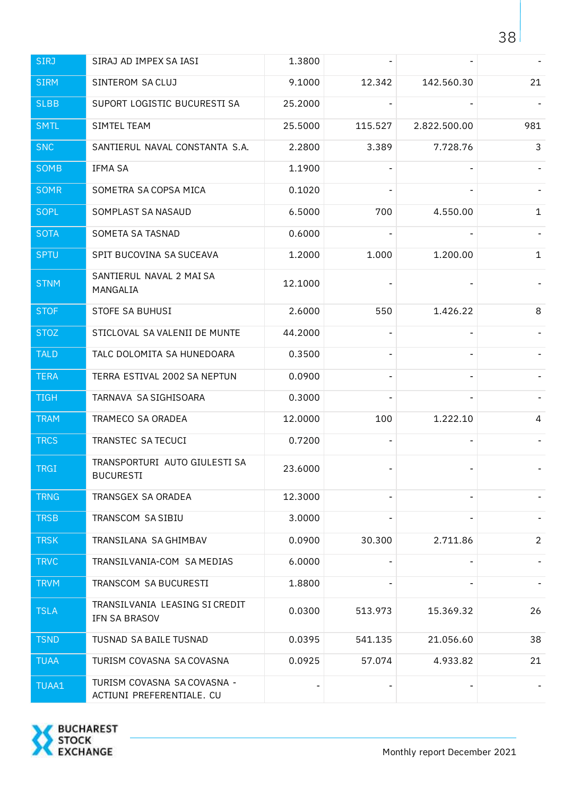| <b>SIRJ</b> | SIRAJ AD IMPEX SA IASI                                   | 1.3800  |         |              |                |
|-------------|----------------------------------------------------------|---------|---------|--------------|----------------|
| <b>SIRM</b> | SINTEROM SA CLUJ                                         | 9.1000  | 12.342  | 142.560.30   | 21             |
| <b>SLBB</b> | SUPORT LOGISTIC BUCURESTI SA                             | 25.2000 |         |              |                |
| <b>SMTL</b> | SIMTEL TEAM                                              | 25.5000 | 115.527 | 2.822.500.00 | 981            |
| <b>SNC</b>  | SANTIERUL NAVAL CONSTANTA S.A.                           | 2.2800  | 3.389   | 7.728.76     | 3              |
| SOMB        | IFMA SA                                                  | 1.1900  |         |              |                |
| <b>SOMR</b> | SOMETRA SA COPSA MICA                                    | 0.1020  |         |              |                |
| <b>SOPL</b> | SOMPLAST SA NASAUD                                       | 6.5000  | 700     | 4.550.00     | $\mathbf{1}$   |
| <b>SOTA</b> | SOMETA SA TASNAD                                         | 0.6000  |         |              |                |
| <b>SPTU</b> | SPIT BUCOVINA SA SUCEAVA                                 | 1.2000  | 1.000   | 1.200.00     | $\mathbf{1}$   |
| <b>STNM</b> | SANTIERUL NAVAL 2 MAI SA<br>MANGALIA                     | 12.1000 |         |              |                |
| <b>STOF</b> | STOFE SA BUHUSI                                          | 2.6000  | 550     | 1.426.22     | 8              |
| <b>STOZ</b> | STICLOVAL SA VALENII DE MUNTE                            | 44.2000 |         |              |                |
| <b>TALD</b> | TALC DOLOMITA SA HUNEDOARA                               | 0.3500  |         |              |                |
| <b>TERA</b> | TERRA ESTIVAL 2002 SA NEPTUN                             | 0.0900  |         |              |                |
| <b>TIGH</b> | TARNAVA SA SIGHISOARA                                    | 0.3000  |         |              |                |
| <b>TRAM</b> | TRAMECO SA ORADEA                                        | 12.0000 | 100     | 1.222.10     | 4              |
| <b>TRCS</b> | TRANSTEC SA TECUCI                                       | 0.7200  |         |              |                |
| <b>TRGI</b> | TRANSPORTURI AUTO GIULESTI SA<br>BUCURESTI               | 23.6000 |         |              |                |
| <b>TRNG</b> | TRANSGEX SA ORADEA                                       | 12.3000 |         |              |                |
| <b>TRSB</b> | TRANSCOM SA SIBIU                                        | 3.0000  |         |              |                |
| <b>TRSK</b> | TRANSILANA SA GHIMBAV                                    | 0.0900  | 30.300  | 2.711.86     | $\overline{2}$ |
| <b>TRVC</b> | TRANSILVANIA-COM SA MEDIAS                               | 6.0000  |         |              |                |
| <b>TRVM</b> | TRANSCOM SA BUCURESTI                                    | 1.8800  |         |              |                |
| <b>TSLA</b> | TRANSILVANIA LEASING SI CREDIT<br>IFN SA BRASOV          | 0.0300  | 513.973 | 15.369.32    | 26             |
| <b>TSND</b> | TUSNAD SA BAILE TUSNAD                                   | 0.0395  | 541.135 | 21.056.60    | 38             |
| <b>TUAA</b> | TURISM COVASNA SA COVASNA                                | 0.0925  | 57.074  | 4.933.82     | 21             |
| TUAA1       | TURISM COVASNA SA COVASNA -<br>ACTIUNI PREFERENTIALE. CU |         |         |              |                |

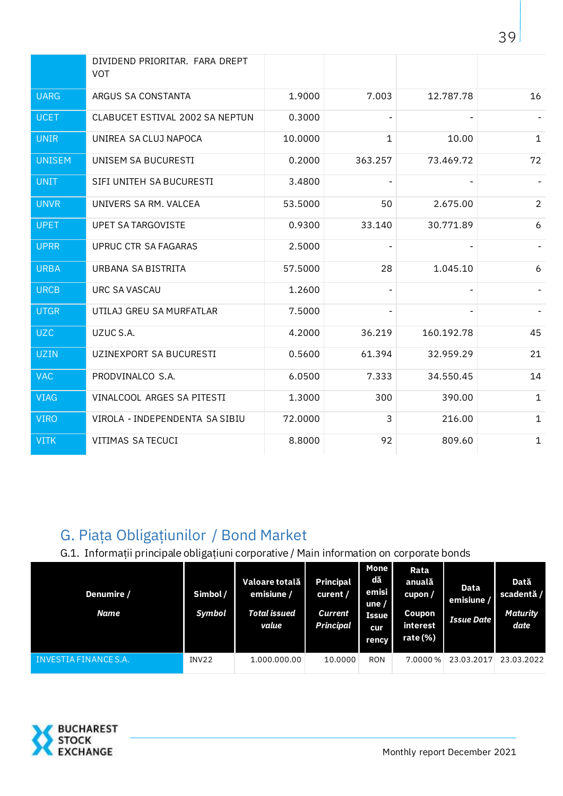|               | DIVIDEND PRIORITAR. FARA DREPT<br><b>VOT</b> |         |                |            |                |
|---------------|----------------------------------------------|---------|----------------|------------|----------------|
| <b>UARG</b>   | ARGUS SA CONSTANTA                           | 1.9000  | 7.003          | 12.787.78  | 16             |
| <b>UCET</b>   | CLABUCET ESTIVAL 2002 SA NEPTUN              | 0.3000  |                |            |                |
| <b>UNIR</b>   | UNIREA SA CLUJ NAPOCA                        | 10.0000 | $\mathbf{1}$   | 10.00      | $\mathbf{1}$   |
| <b>UNISEM</b> | UNISEM SA BUCURESTI                          | 0.2000  | 363.257        | 73.469.72  | 72             |
| <b>UNIT</b>   | SIFI UNITEH SA BUCURESTI                     | 3.4800  |                |            |                |
| <b>UNVR</b>   | UNIVERS SA RM. VALCEA                        | 53.5000 | 50             | 2.675.00   | $\overline{2}$ |
| <b>UPET</b>   | <b>UPET SA TARGOVISTE</b>                    | 0.9300  | 33.140         | 30.771.89  | 6              |
| <b>UPRR</b>   | UPRUC CTR SA FAGARAS                         | 2.5000  | $\blacksquare$ |            |                |
| <b>URBA</b>   | URBANA SA BISTRITA                           | 57.5000 | 28             | 1.045.10   | 6              |
| <b>URCB</b>   | <b>URC SA VASCAU</b>                         | 1.2600  | ٠              | ۰          |                |
| <b>UTGR</b>   | UTILAJ GREU SA MURFATLAR                     | 7.5000  | ÷              |            |                |
| <b>UZC</b>    | UZUC S.A.                                    | 4.2000  | 36.219         | 160.192.78 | 45             |
| <b>UZIN</b>   | UZINEXPORT SA BUCURESTI                      | 0.5600  | 61.394         | 32.959.29  | 21             |
| <b>VAC</b>    | PRODVINALCO S.A.                             | 6.0500  | 7.333          | 34.550.45  | 14             |
| <b>VIAG</b>   | VINALCOOL ARGES SA PITESTI                   | 1.3000  | 300            | 390.00     | $\mathbf{1}$   |
| <b>VIRO</b>   | VIROLA - INDEPENDENTA SA SIBIU               | 72.0000 | 3              | 216.00     | $\mathbf{1}$   |
| <b>VITK</b>   | VITIMAS SA TECUCI                            | 8.8000  | 92             | 809.60     | $\mathbf{1}$   |

## <span id="page-38-0"></span>G. Piaţa Obligaţiunilor / Bond Market

<span id="page-38-1"></span>G.1. Informaţii principale obligaţiuni corporative / Main information on corporate bonds

| Denumire /<br>Name    | Simbol /<br>Symbol | Valoare totală<br>emisiune /<br>Total issued<br>value | <b>Principal</b><br>curent /<br><b>Current</b><br><b>Principal</b> | <b>Mone</b><br>dă<br>emisi<br>une $/$<br><b>Issue</b><br>cur<br><b>rency</b> | Rata<br>anuală<br>cupon/<br>Coupon<br>interest<br>rate (%) | Data<br>emisiune /<br><b>Issue Date</b> | Dată<br>scadentă /<br><b>Maturity</b><br>date |
|-----------------------|--------------------|-------------------------------------------------------|--------------------------------------------------------------------|------------------------------------------------------------------------------|------------------------------------------------------------|-----------------------------------------|-----------------------------------------------|
| INVESTIA FINANCE S.A. | INV22              | 1.000.000.00                                          | 10.0000                                                            | <b>RON</b>                                                                   | 7.0000 %                                                   | 23.03.2017                              | 23.03.2022                                    |

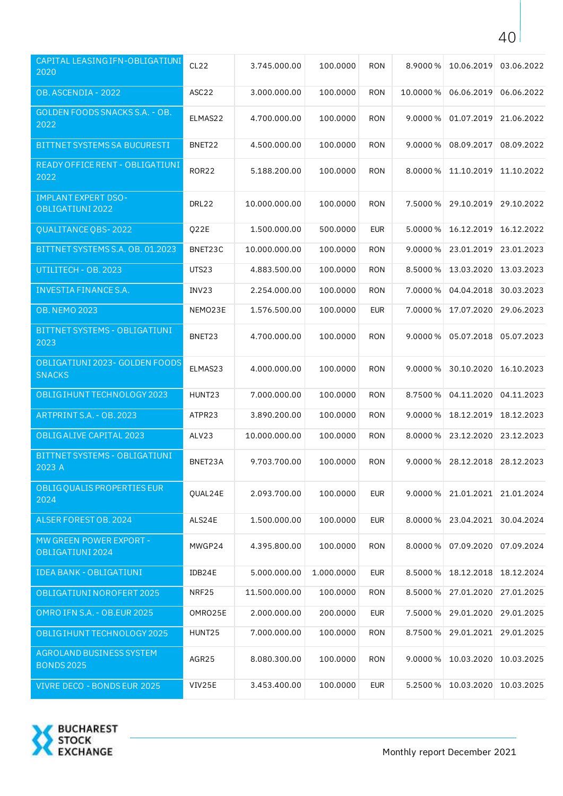| CAPITAL LEASING IFN-OBLIGATIUNI<br>2020         | CL <sub>22</sub>   | 3.745.000.00  | 100.0000   | <b>RON</b> | 8.9000%    | 10.06.2019 | 03.06.2022 |
|-------------------------------------------------|--------------------|---------------|------------|------------|------------|------------|------------|
| OB. ASCENDIA - 2022                             | ASC <sub>22</sub>  | 3.000.000.00  | 100.0000   | <b>RON</b> | 10.0000%   | 06.06.2019 | 06.06.2022 |
| <b>GOLDEN FOODS SNACKS S.A. - OB.</b><br>2022   | ELMAS22            | 4.700.000.00  | 100.0000   | <b>RON</b> | 9.0000%    | 01.07.2019 | 21.06.2022 |
| BITTNET SYSTEMS SA BUCURESTI                    | BNET22             | 4.500.000.00  | 100.0000   | <b>RON</b> | 9.0000%    | 08.09.2017 | 08.09.2022 |
| READY OFFICE RENT - OBLIGATIUNI<br>2022         | <b>ROR22</b>       | 5.188.200.00  | 100.0000   | <b>RON</b> | 8.0000%    | 11.10.2019 | 11.10.2022 |
| <b>IMPLANT EXPERT DSO-</b><br>OBLIGATIUNI 2022  | DRL22              | 10.000.000.00 | 100.0000   | <b>RON</b> | 7.5000 %   | 29.10.2019 | 29.10.2022 |
| QUALITANCE QBS-2022                             | Q22E               | 1.500.000.00  | 500.0000   | <b>EUR</b> | 5.0000 %   | 16.12.2019 | 16.12.2022 |
| BITTNET SYSTEMS S.A. OB. 01.2023                | BNET23C            | 10.000.000.00 | 100.0000   | <b>RON</b> | 9.0000%    | 23.01.2019 | 23.01.2023 |
| UTILITECH - OB. 2023                            | UTS23              | 4.883.500.00  | 100.0000   | <b>RON</b> | 8.5000%    | 13.03.2020 | 13.03.2023 |
| INVESTIA FINANCE S.A.                           | INV23              | 2.254.000.00  | 100.0000   | <b>RON</b> | 7.0000%    | 04.04.2018 | 30.03.2023 |
| <b>OB. NEMO 2023</b>                            | NEMO23E            | 1.576.500.00  | 100.0000   | <b>EUR</b> | 7.0000%    | 17.07.2020 | 29.06.2023 |
| BITTNET SYSTEMS - OBLIGATIUNI<br>2023           | BNET23             | 4.700.000.00  | 100.0000   | RON        | $9.0000\%$ | 05.07.2018 | 05.07.2023 |
| OBLIGATIUNI 2023- GOLDEN FOODS<br><b>SNACKS</b> | ELMAS23            | 4.000.000.00  | 100.0000   | <b>RON</b> | 9.0000%    | 30.10.2020 | 16.10.2023 |
| OBLIG IHUNT TECHNOLOGY 2023                     | HUNT <sub>23</sub> | 7.000.000.00  | 100.0000   | <b>RON</b> | 8.7500 %   | 04.11.2020 | 04.11.2023 |
| ARTPRINTS.A. - OB. 2023                         | ATPR23             | 3.890.200.00  | 100.0000   | <b>RON</b> | 9.0000%    | 18.12.2019 | 18.12.2023 |
| OBLIG ALIVE CAPITAL 2023                        | ALV23              | 10.000.000.00 | 100.0000   | <b>RON</b> | 8.0000%    | 23.12.2020 | 23.12.2023 |
| BITTNET SYSTEMS - OBLIGATIUNI<br>2023 A         | BNET23A            | 9.703.700.00  | 100.0000   | <b>RON</b> | $9.0000\%$ | 28.12.2018 | 28.12.2023 |
| OBLIG QUALIS PROPERTIES EUR<br>2024             | OUAL24E            | 2.093.700.00  | 100.0000   | <b>EUR</b> | $9.0000\%$ | 21.01.2021 | 21.01.2024 |
| ALSER FOREST OB. 2024                           | ALS24E             | 1.500.000.00  | 100.0000   | <b>EUR</b> | 8.0000 %   | 23.04.2021 | 30.04.2024 |
| MW GREEN POWER EXPORT -<br>OBLIGATIUNI 2024     | MWGP24             | 4.395.800.00  | 100.0000   | <b>RON</b> | 8.0000%    | 07.09.2020 | 07.09.2024 |
| <b>IDEA BANK - OBLIGATIUNI</b>                  | IDB24E             | 5.000.000.00  | 1.000.0000 | <b>EUR</b> | 8.5000 %   | 18.12.2018 | 18.12.2024 |
| OBLIGATIUNI NOROFERT 2025                       | NRF25              | 11.500.000.00 | 100.0000   | <b>RON</b> | 8.5000%    | 27.01.2020 | 27.01.2025 |
| OMRO IFN S.A. - OB.EUR 2025                     | OMRO25E            | 2.000.000.00  | 200.0000   | <b>EUR</b> | 7.5000%    | 29.01.2020 | 29.01.2025 |
| OBLIGIHUNT TECHNOLOGY 2025                      | HUNT25             | 7.000.000.00  | 100.0000   | <b>RON</b> | 8.7500 %   | 29.01.2021 | 29.01.2025 |
| AGROLAND BUSINESS SYSTEM<br><b>BONDS 2025</b>   | AGR25              | 8.080.300.00  | 100.0000   | <b>RON</b> | $9.0000\%$ | 10.03.2020 | 10.03.2025 |
| VIVRE DECO - BONDS EUR 2025                     | VIV25E             | 3.453.400.00  | 100.0000   | <b>EUR</b> | 5.2500 %   | 10.03.2020 | 10.03.2025 |

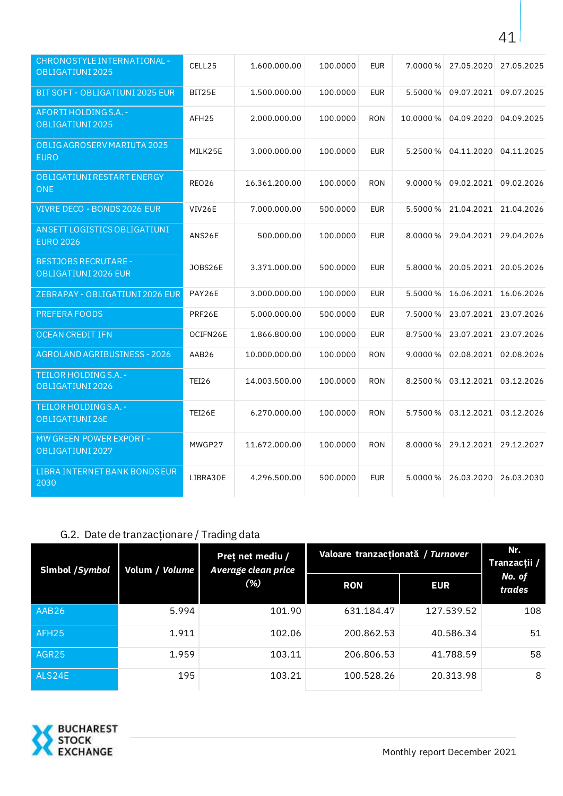| <b>CHRONOSTYLE INTERNATIONAL -</b><br>OBLIGATIUNI 2025 | CELL25            | 1.600.000.00  | 100.0000 | <b>EUR</b> | 7.0000%  | 27.05.2020 | 27.05.2025 |
|--------------------------------------------------------|-------------------|---------------|----------|------------|----------|------------|------------|
| BIT SOFT - OBLIGATIUNI 2025 EUR                        | BIT25E            | 1.500.000.00  | 100.0000 | <b>EUR</b> | 5.5000 % | 09.07.2021 | 09.07.2025 |
| AFORTI HOLDINGS.A. -<br>OBLIGATIUNI 2025               | AFH25             | 2.000.000.00  | 100.0000 | <b>RON</b> | 10.0000% | 04.09.2020 | 04.09.2025 |
| OBLIG AGROSERV MARIUTA 2025<br><b>EURO</b>             | MILK25E           | 3.000.000.00  | 100.0000 | <b>EUR</b> | 5.2500 % | 04.11.2020 | 04.11.2025 |
| OBLIGATIUNI RESTART ENERGY<br><b>ONE</b>               | REO <sub>26</sub> | 16.361.200.00 | 100.0000 | <b>RON</b> | 9.0000%  | 09.02.2021 | 09.02.2026 |
| VIVRE DECO - BONDS 2026 EUR                            | VIV26E            | 7.000.000.00  | 500.0000 | <b>EUR</b> | 5.5000 % | 21.04.2021 | 21.04.2026 |
| ANSETT LOGISTICS OBLIGATIUNI<br><b>EURO 2026</b>       | ANS26E            | 500.000.00    | 100.0000 | <b>EUR</b> | 8.0000 % | 29.04.2021 | 29.04.2026 |
| <b>BESTJOBS RECRUTARE -</b><br>OBLIGATIUNI 2026 EUR    | <b>JOBS26E</b>    | 3.371.000.00  | 500.0000 | <b>EUR</b> | 5.8000 % | 20.05.2021 | 20.05.2026 |
| ZEBRAPAY - OBLIGATIUNI 2026 EUR                        | PAY26E            | 3.000.000.00  | 100.0000 | <b>EUR</b> | 5.5000 % | 16.06.2021 | 16.06.2026 |
| PREFERA FOODS                                          | PRF26E            | 5.000.000.00  | 500.0000 | <b>EUR</b> | 7.5000 % | 23.07.2021 | 23.07.2026 |
| <b>OCEAN CREDIT IFN</b>                                | OCIFN26E          | 1.866.800.00  | 100.0000 | <b>EUR</b> | 8.7500 % | 23.07.2021 | 23.07.2026 |
| AGROLAND AGRIBUSINESS - 2026                           | AAB26             | 10.000.000.00 | 100.0000 | <b>RON</b> | 9.0000%  | 02.08.2021 | 02.08.2026 |
| TEILOR HOLDINGS.A. -<br>OBLIGATIUNI 2026               | <b>TEI26</b>      | 14.003.500.00 | 100.0000 | <b>RON</b> | 8.2500 % | 03.12.2021 | 03.12.2026 |
| TEILOR HOLDINGS.A. -<br>OBLIGATIUNI 26E                | TEI26E            | 6.270.000.00  | 100.0000 | <b>RON</b> | 5.7500 % | 03.12.2021 | 03.12.2026 |
| MW GREEN POWER EXPORT -<br>OBLIGATIUNI 2027            | MWGP27            | 11.672.000.00 | 100.0000 | <b>RON</b> | 8.0000%  | 29.12.2021 | 29.12.2027 |
| LIBRA INTERNET BANK BONDS EUR<br>2030                  | LIBRA30E          | 4.296.500.00  | 500.0000 | <b>EUR</b> | 5.0000%  | 26.03.2020 | 26.03.2030 |

## <span id="page-40-0"></span>G.2. Date de tranzacţionare / Trading data

| Simbol /Symbol    | Volum / Volume | Pret net mediu /<br>Average clean price<br>(% ) | Valoare tranzacționată / Turnover | Nr.<br>Tranzacții / |                  |
|-------------------|----------------|-------------------------------------------------|-----------------------------------|---------------------|------------------|
|                   |                |                                                 | <b>RON</b>                        | <b>EUR</b>          | No. of<br>trades |
| AAB26             | 5.994          | 101.90                                          | 631.184.47                        | 127.539.52          | 108              |
| AFH <sub>25</sub> | 1.911          | 102.06                                          | 200.862.53                        | 40.586.34           | 51               |
| AGR25             | 1.959          | 103.11                                          | 206.806.53                        | 41.788.59           | 58               |
| ALS24E            | 195            | 103.21                                          | 100.528.26                        | 20.313.98           | 8                |



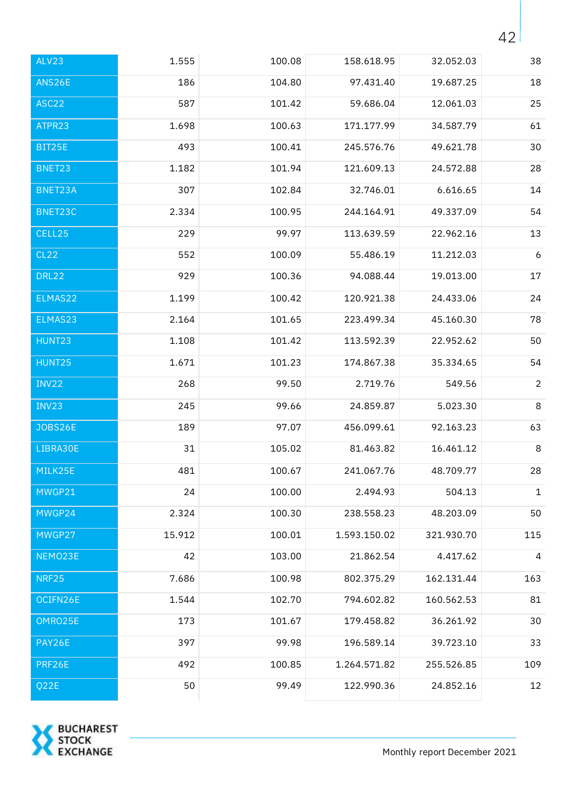| ALV23             | 1.555  | 100.08 | 158.618.95   | 32.052.03  | 38             |
|-------------------|--------|--------|--------------|------------|----------------|
| ANS26E            | 186    | 104.80 | 97.431.40    | 19.687.25  | 18             |
| ASC <sub>22</sub> | 587    | 101.42 | 59.686.04    | 12.061.03  | 25             |
| ATPR23            | 1.698  | 100.63 | 171.177.99   | 34.587.79  | 61             |
| BIT25E            | 493    | 100.41 | 245.576.76   | 49.621.78  | 30             |
| BNET23            | 1.182  | 101.94 | 121.609.13   | 24.572.88  | 28             |
| BNET23A           | 307    | 102.84 | 32.746.01    | 6.616.65   | 14             |
| BNET23C           | 2.334  | 100.95 | 244.164.91   | 49.337.09  | 54             |
| CELL25            | 229    | 99.97  | 113.639.59   | 22.962.16  | 13             |
| <b>CL22</b>       | 552    | 100.09 | 55.486.19    | 11.212.03  | 6              |
| <b>DRL22</b>      | 929    | 100.36 | 94.088.44    | 19.013.00  | $17\,$         |
| ELMAS22           | 1.199  | 100.42 | 120.921.38   | 24.433.06  | 24             |
| ELMAS23           | 2.164  | 101.65 | 223.499.34   | 45.160.30  | 78             |
| HUNT23            | 1.108  | 101.42 | 113.592.39   | 22.952.62  | 50             |
| HUNT25            | 1.671  | 101.23 | 174.867.38   | 35.334.65  | 54             |
| INV22             | 268    | 99.50  | 2.719.76     | 549.56     | $\overline{2}$ |
| INV23             | 245    | 99.66  | 24.859.87    | 5.023.30   | $\,8\,$        |
| <b>JOBS26E</b>    | 189    | 97.07  | 456.099.61   | 92.163.23  | 63             |
| LIBRA30E          | 31     | 105.02 | 81.463.82    | 16.461.12  | 8              |
| MILK25E           | 481    | 100.67 | 241.067.76   | 48.709.77  | 28             |
| MWGP21            | 24     | 100.00 | 2.494.93     | 504.13     | $\mathbf{1}$   |
| MWGP24            | 2.324  | 100.30 | 238.558.23   | 48.203.09  | 50             |
| MWGP27            | 15.912 | 100.01 | 1.593.150.02 | 321.930.70 | 115            |
| NEMO23E           | 42     | 103.00 | 21.862.54    | 4.417.62   | 4              |
| <b>NRF25</b>      | 7.686  | 100.98 | 802.375.29   | 162.131.44 | 163            |
| OCIFN26E          | 1.544  | 102.70 | 794.602.82   | 160.562.53 | 81             |
| OMRO25E           | 173    | 101.67 | 179.458.82   | 36.261.92  | 30             |
| PAY26E            | 397    | 99.98  | 196.589.14   | 39.723.10  | 33             |
| PRF26E            | 492    | 100.85 | 1.264.571.82 | 255.526.85 | 109            |
| Q22E              | 50     | 99.49  | 122.990.36   | 24.852.16  | 12             |

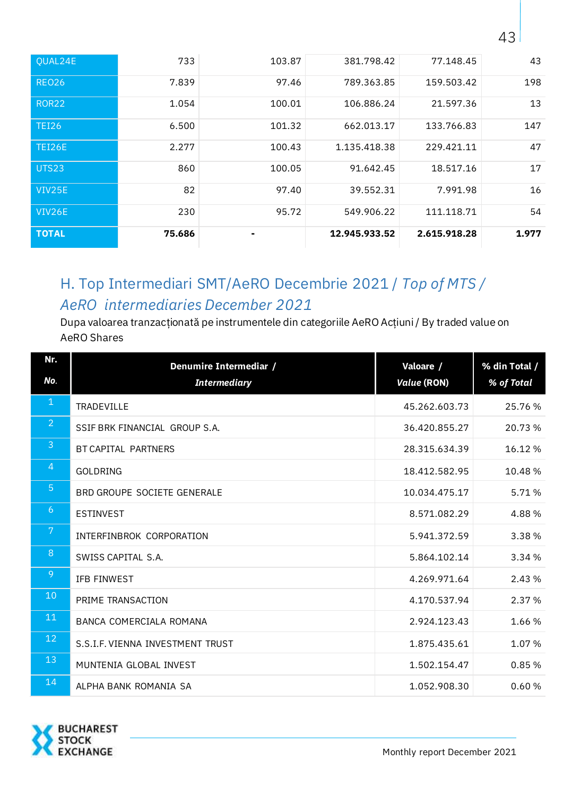| VIV25E        | 82    | 97.40  | 39.552.31    | 7.991.98   | 16  |
|---------------|-------|--------|--------------|------------|-----|
|               |       |        |              |            |     |
| <b>UTS23</b>  | 860   | 100.05 | 91.642.45    | 18.517.16  | 17  |
|               |       |        |              |            |     |
| <b>TEI26E</b> | 2.277 | 100.43 | 1.135.418.38 | 229.421.11 | 47  |
|               |       |        |              |            |     |
| <b>TEI26</b>  | 6.500 | 101.32 | 662.013.17   | 133.766.83 | 147 |
|               |       |        |              |            |     |
| <b>ROR22</b>  | 1.054 | 100.01 | 106.886.24   | 21.597.36  | 13  |
| <b>REO26</b>  | 7.839 | 97.46  | 789.363.85   | 159.503.42 | 198 |
|               |       |        |              |            |     |
| QUAL24E       | 733   | 103.87 | 381.798.42   | 77.148.45  | 43  |
|               |       |        |              |            |     |

## <span id="page-42-0"></span>H. Top Intermediari SMT/AeRO Decembrie 2021 / *Top of MTS / AeRO intermediaries December 2021*

Dupa valoarea tranzacţionată pe instrumentele din categoriile AeRO Acţiuni / By traded value on AeRO Shares

| Nr.            | Denumire Intermediar /           | Valoare /          | % din Total / |
|----------------|----------------------------------|--------------------|---------------|
| No.            | <b>Intermediary</b>              | <b>Value (RON)</b> | % of Total    |
| $\mathbf{1}$   | TRADEVILLE                       | 45.262.603.73      | 25.76%        |
| $\overline{2}$ | SSIF BRK FINANCIAL GROUP S.A.    | 36.420.855.27      | 20.73 %       |
| $\overline{3}$ | BT CAPITAL PARTNERS              | 28.315.634.39      | 16.12%        |
| $\overline{4}$ | <b>GOLDRING</b>                  | 18.412.582.95      | 10.48%        |
| 5 <sup>5</sup> | BRD GROUPE SOCIETE GENERALE      | 10.034.475.17      | 5.71%         |
| 6              | <b>ESTINVEST</b>                 | 8.571.082.29       | 4.88%         |
| 7              | INTERFINBROK CORPORATION         | 5.941.372.59       | 3.38%         |
| 8              | SWISS CAPITAL S.A.               | 5.864.102.14       | 3.34 %        |
| 9              | IFB FINWEST                      | 4.269.971.64       | 2.43 %        |
| 10             | PRIME TRANSACTION                | 4.170.537.94       | 2.37 %        |
| 11             | BANCA COMERCIALA ROMANA          | 2.924.123.43       | 1.66 %        |
| 12             | S.S.I.F. VIENNA INVESTMENT TRUST | 1.875.435.61       | 1.07%         |
| 13             | MUNTENIA GLOBAL INVEST           | 1.502.154.47       | 0.85%         |
| 14             | ALPHA BANK ROMANIA SA            | 1.052.908.30       | 0.60%         |